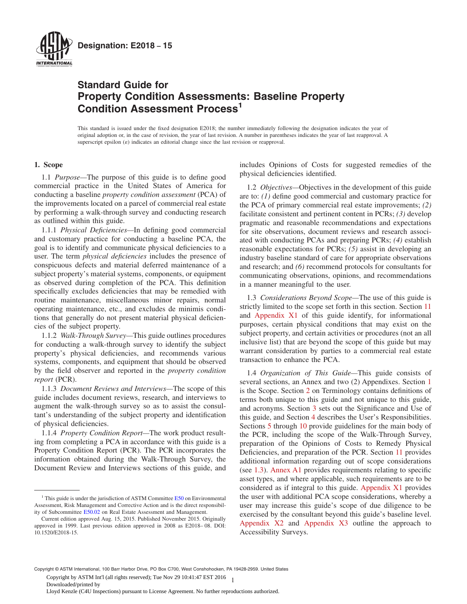<span id="page-0-0"></span>

## **Standard Guide for Property Condition Assessments: Baseline Property Condition Assessment Process<sup>1</sup>**

This standard is issued under the fixed designation E2018; the number immediately following the designation indicates the year of original adoption or, in the case of revision, the year of last revision. A number in parentheses indicates the year of last reapproval. A superscript epsilon  $(\varepsilon)$  indicates an editorial change since the last revision or reapproval.

#### **1. Scope**

1.1 *Purpose—*The purpose of this guide is to define good commercial practice in the United States of America for conducting a baseline *property condition assessment* (PCA) of the improvements located on a parcel of commercial real estate by performing a walk-through survey and conducting research as outlined within this guide.

1.1.1 *Physical Deficiencies—*In defining good commercial and customary practice for conducting a baseline PCA, the goal is to identify and communicate physical deficiencies to a user. The term *physical deficiencies* includes the presence of conspicuous defects and material deferred maintenance of a subject property's material systems, components, or equipment as observed during completion of the PCA. This definition specifically excludes deficiencies that may be remedied with routine maintenance, miscellaneous minor repairs, normal operating maintenance, etc., and excludes de minimis conditions that generally do not present material physical deficiencies of the subject property.

1.1.2 *Walk-Through Survey—*This guide outlines procedures for conducting a walk-through survey to identify the subject property's physical deficiencies, and recommends various systems, components, and equipment that should be observed by the field observer and reported in the *property condition report* (PCR).

1.1.3 *Document Reviews and Interviews—*The scope of this guide includes document reviews, research, and interviews to augment the walk-through survey so as to assist the consultant's understanding of the subject property and identification of physical deficiencies.

1.1.4 *Property Condition Report—*The work product resulting from completing a PCA in accordance with this guide is a Property Condition Report (PCR). The PCR incorporates the information obtained during the Walk-Through Survey, the Document Review and Interviews sections of this guide, and includes Opinions of Costs for suggested remedies of the physical deficiencies identified.

1.2 *Objectives—*Objectives in the development of this guide are to: *(1)* define good commercial and customary practice for the PCA of primary commercial real estate improvements; *(2)* facilitate consistent and pertinent content in PCRs; *(3)* develop pragmatic and reasonable recommendations and expectations for site observations, document reviews and research associated with conducting PCAs and preparing PCRs; *(4)* establish reasonable expectations for PCRs; *(5)* assist in developing an industry baseline standard of care for appropriate observations and research; and *(6)* recommend protocols for consultants for communicating observations, opinions, and recommendations in a manner meaningful to the user.

1.3 *Considerations Beyond Scope—*The use of this guide is strictly limited to the scope set forth in this section. Section [11](#page-12-0) and [Appendix X1](#page-15-0) of this guide identify, for informational purposes, certain physical conditions that may exist on the subject property, and certain activities or procedures (not an all inclusive list) that are beyond the scope of this guide but may warrant consideration by parties to a commercial real estate transaction to enhance the PCA.

1.4 *Organization of This Guide—*This guide consists of several sections, an Annex and two (2) Appendixes. Section 1 is the Scope. Section [2](#page-1-0) on Terminology contains definitions of terms both unique to this guide and not unique to this guide, and acronyms. Section [3](#page-5-0) sets out the Significance and Use of this guide, and Section [4](#page-6-0) describes the User's Responsibilities. Sections [5](#page-7-0) through [10](#page-11-0) provide guidelines for the main body of the PCR, including the scope of the Walk-Through Survey, preparation of the Opinions of Costs to Remedy Physical Deficiencies, and preparation of the PCR. Section [11](#page-12-0) provides additional information regarding out of scope considerations (see 1.3). [Annex A1](#page-14-0) provides requirements relating to specific asset types, and where applicable, such requirements are to be considered as if integral to this guide. [Appendix X1](#page-15-0) provides the user with additional PCA scope considerations, whereby a user may increase this guide's scope of due diligence to be exercised by the consultant beyond this guide's baseline level. [Appendix X2](#page-17-0) and [Appendix X3](#page-19-0) outline the approach to Accessibility Surveys.

1 Copyright by ASTM Int'l (all rights reserved); Tue Nov 29 10:41:47 EST 2016

 $1$ . This guide is under the jurisdiction of ASTM Committee  $E$ 50 on Environmental Assessment, Risk Management and Corrective Action and is the direct responsibility of Subcommittee [E50.02](http://www.astm.org/COMMIT/SUBCOMMIT/E5002.htm) on Real Estate Assessment and Management.

Current edition approved Aug. 15, 2015. Published November 2015. Originally approved in 1999. Last previous edition approved in 2008 as E2018– 08. DOI: 10.1520/E2018-15.

Copyright © ASTM International, 100 Barr Harbor Drive, PO Box C700, West Conshohocken, PA 19428-2959. United States

Downloaded/printed by

Lloyd Kenzle (C4U Inspections) pursuant to License Agreement. No further reproductions authorized.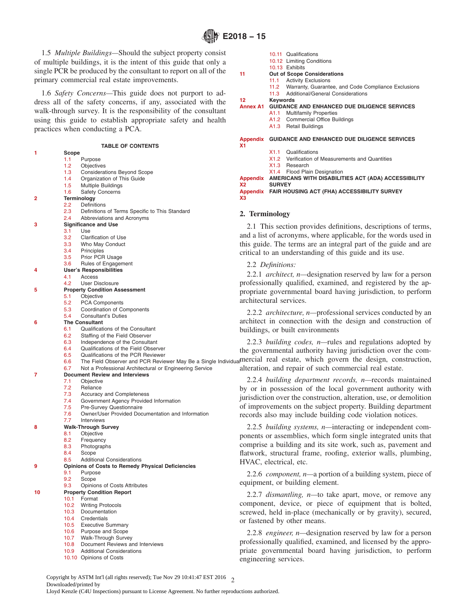<span id="page-1-0"></span>1.5 *Multiple Buildings—*Should the subject property consist of multiple buildings, it is the intent of this guide that only a single PCR be produced by the consultant to report on all of the primary commercial real estate improvements.

1.6 *Safety Concerns—*This guide does not purport to address all of the safety concerns, if any, associated with the walk-through survey. It is the responsibility of the consultant using this guide to establish appropriate safety and health practices when conducting a PCA.

#### **TABLE OF CONTENTS**

| 1  | Scope             |                                                                |
|----|-------------------|----------------------------------------------------------------|
|    | 1.1               | Purpose                                                        |
|    | 1.2               | Objectives                                                     |
|    | 1.3               | <b>Considerations Beyond Scope</b>                             |
|    | 1.4               | Organization of This Guide                                     |
|    | 1.5               | Multiple Buildings                                             |
|    | 1.6               | <b>Safety Concerns</b>                                         |
| 2  |                   | Terminology                                                    |
|    | 2.2               | Definitions                                                    |
|    | 2.3               | Definitions of Terms Specific to This Standard                 |
|    | 2.4               | Abbreviations and Acronyms                                     |
| з  |                   | <b>Significance and Use</b>                                    |
|    | 3.1               | Use                                                            |
|    | 3.2               | <b>Clarification of Use</b>                                    |
|    | 3.3               | Who May Conduct                                                |
|    | $3.4^{\circ}$     | Principles                                                     |
|    | $3.5\,$           | Prior PCR Usage                                                |
|    | 3.6               | Rules of Engagement                                            |
| 4  |                   | <b>User's Responsibilities</b>                                 |
|    | 4.1               | Access                                                         |
|    | 4.2               | <b>User Disclosure</b>                                         |
| 5  |                   | <b>Property Condition Assessment</b>                           |
|    | 5.1               | Objective                                                      |
|    | 5.2               | <b>PCA Components</b>                                          |
|    | 5.3               | Coordination of Components                                     |
|    | 5.4               | <b>Consultant's Duties</b>                                     |
| 6  |                   | <b>The Consultant</b>                                          |
|    | 6.1               | Qualifications of the Consultant                               |
|    | 6.2               | Staffing of the Field Observer                                 |
|    | 6.3               | Independence of the Consultant                                 |
|    | 6.4               | Qualifications of the Field Observer                           |
|    | 6.5               | Qualifications of the PCR Reviewer                             |
|    | 6.6               | The Field Observer and PCR Reviewer May Be a Single Individual |
|    | 6.7               | Not a Professional Architectural or Engineering Service        |
| 7  |                   | <b>Document Review and Interviews</b>                          |
|    | 7.1               | Objective                                                      |
|    | 7.2               | Reliance                                                       |
|    | 7.3               | <b>Accuracy and Completeness</b>                               |
|    | 7.4               | Government Agency Provided Information                         |
|    | 7.5               | Pre-Survey Questionnaire                                       |
|    | 7.6               | Owner/User Provided Documentation and Information              |
|    | 7.7               | Interviews                                                     |
| 8  |                   | <b>Walk-Through Survey</b>                                     |
|    | 8.1               | Objective                                                      |
|    | 8.2               | Frequency                                                      |
|    | 8.3               | Photographs                                                    |
|    | 8.4               | Scope                                                          |
|    | 8.5               | <b>Additional Considerations</b>                               |
| 9  |                   | <b>Opinions of Costs to Remedy Physical Deficiencies</b>       |
|    | 9.1               | Purpose                                                        |
|    | 9.2               | Scope                                                          |
|    | 9.3               | Opinions of Costs Attributes                                   |
| 10 |                   | <b>Property Condition Report</b>                               |
|    | 10.1              | Format                                                         |
|    | 10.2 <sub>1</sub> | <b>Writing Protocols</b>                                       |
|    | 10.3              | Documentation                                                  |
|    | 10.4              | Credentials                                                    |
|    |                   | 10.5 Executive Summary                                         |
|    | 10.6              | Purpose and Scope                                              |
|    | 10.7              | Walk-Through Survey                                            |

- [10.8](#page-12-0) Document Reviews and Interviews
- [10.9](#page-12-0) Additional Considerations
- [10.10](#page-12-0) Opinions of Costs

|                | 10.11 Qualifications                                     |  |  |  |  |  |  |
|----------------|----------------------------------------------------------|--|--|--|--|--|--|
|                | 10.12 Limiting Conditions                                |  |  |  |  |  |  |
|                | 10.13 Exhibits                                           |  |  |  |  |  |  |
| 11             | <b>Out of Scope Considerations</b>                       |  |  |  |  |  |  |
|                | 11.1 Activity Exclusions                                 |  |  |  |  |  |  |
|                | 11.2 Warranty, Guarantee, and Code Compliance Exclusions |  |  |  |  |  |  |
|                | 11.3 Additional/General Considerations                   |  |  |  |  |  |  |
| 12             | Keywords                                                 |  |  |  |  |  |  |
|                | Annex A1 GUIDANCE AND ENHANCED DUE DILIGENCE SERVICES    |  |  |  |  |  |  |
|                | A1.1 Multifamily Properties                              |  |  |  |  |  |  |
|                | A1.2 Commercial Office Buildings                         |  |  |  |  |  |  |
|                | A1.3 Retail Buildings                                    |  |  |  |  |  |  |
|                |                                                          |  |  |  |  |  |  |
|                | Appendix GUIDANCE AND ENHANCED DUE DILIGENCE SERVICES    |  |  |  |  |  |  |
| X <sub>1</sub> |                                                          |  |  |  |  |  |  |
|                | X1.1 Qualifications                                      |  |  |  |  |  |  |
|                | X1.2 Verification of Measurements and Quantities         |  |  |  |  |  |  |
|                | X 1.3<br>Research                                        |  |  |  |  |  |  |

[X1.3](#page-16-0) Research

**SURVEY**

[X1.4](#page-16-0) Flood Plain Designation **[Appendix](#page-17-0) AMERICANS WITH DISABILITIES ACT (ADA) ACCESSIBILITY**

**[X2](#page-17-0)**

**[X3](#page-19-0)**

**[Appendix](#page-19-0) FAIR HOUSING ACT (FHA) ACCESSIBILITY SURVEY**

#### **2. Terminology**

2.1 This section provides definitions, descriptions of terms, and a list of acronyms, where applicable, for the words used in this guide. The terms are an integral part of the guide and are critical to an understanding of this guide and its use.

#### 2.2 *Definitions:*

2.2.1 *architect, n—*designation reserved by law for a person professionally qualified, examined, and registered by the appropriate governmental board having jurisdiction, to perform architectural services.

2.2.2 *architecture, n—*professional services conducted by an architect in connection with the design and construction of buildings, or built environments

2.2.3 *building codes, n—*rules and regulations adopted by the governmental authority having jurisdiction over the comvidualmercial real estate, which govern the design, construction, alteration, and repair of such commercial real estate.

2.2.4 *building department records, n—*records maintained by or in possession of the local government authority with jurisdiction over the construction, alteration, use, or demolition of improvements on the subject property. Building department records also may include building code violation notices.

2.2.5 *building systems, n—*interacting or independent components or assemblies, which form single integrated units that comprise a building and its site work, such as, pavement and flatwork, structural frame, roofing, exterior walls, plumbing, HVAC, electrical, etc.

2.2.6 *component, n—*a portion of a building system, piece of equipment, or building element.

2.2.7 *dismantling, n—*to take apart, move, or remove any component, device, or piece of equipment that is bolted, screwed, held in-place (mechanically or by gravity), secured, or fastened by other means.

2.2.8 *engineer, n—*designation reserved by law for a person professionally qualified, examined, and licensed by the appropriate governmental board having jurisdiction, to perform engineering services.

Copyright by ASTM Int'l (all rights reserved); Tue Nov 29 10:41:47 EST 2016  $\gamma$ Downloaded/printed by Lloyd Kenzle (C4U Inspections) pursuant to License Agreement. No further reproductions authorized.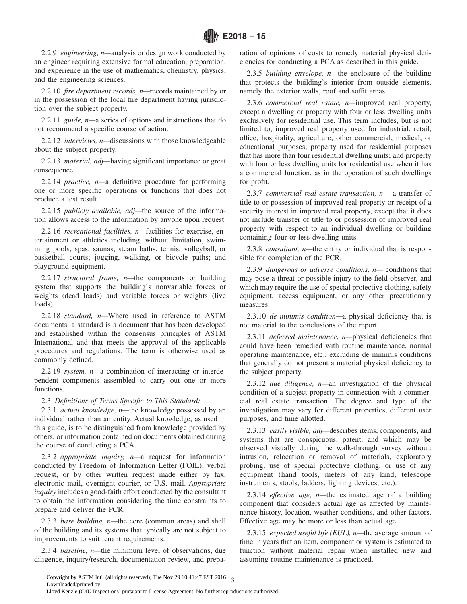<span id="page-2-0"></span>2.2.9 *engineering, n—*analysis or design work conducted by an engineer requiring extensive formal education, preparation, and experience in the use of mathematics, chemistry, physics, and the engineering sciences.

2.2.10 *fire department records, n—*records maintained by or in the possession of the local fire department having jurisdiction over the subject property.

2.2.11 *guide, n—*a series of options and instructions that do not recommend a specific course of action.

2.2.12 *interviews, n—*discussions with those knowledgeable about the subject property.

2.2.13 *material, adj—*having significant importance or great consequence.

2.2.14 *practice, n—*a definitive procedure for performing one or more specific operations or functions that does not produce a test result.

2.2.15 *publicly available, adj—*the source of the information allows access to the information by anyone upon request.

2.2.16 *recreational facilities, n—*facilities for exercise, entertainment or athletics including, without limitation, swimming pools, spas, saunas, steam baths, tennis, volleyball, or basketball courts; jogging, walking, or bicycle paths; and playground equipment.

2.2.17 *structural frame, n—*the components or building system that supports the building's nonvariable forces or weights (dead loads) and variable forces or weights (live loads).

2.2.18 *standard, n—*Where used in reference to ASTM documents, a standard is a document that has been developed and established within the consensus principles of ASTM International and that meets the approval of the applicable procedures and regulations. The term is otherwise used as commonly defined.

2.2.19 *system, n—*a combination of interacting or interdependent components assembled to carry out one or more functions.

## 2.3 *Definitions of Terms Specific to This Standard:*

2.3.1 *actual knowledge, n—*the knowledge possessed by an individual rather than an entity. Actual knowledge, as used in this guide, is to be distinguished from knowledge provided by others, or information contained on documents obtained during the course of conducting a PCA.

2.3.2 *appropriate inquiry, n—*a request for information conducted by Freedom of Information Letter (FOIL), verbal request, or by other written request made either by fax, electronic mail, overnight courier, or U.S. mail. *Appropriate inquiry* includes a good-faith effort conducted by the consultant to obtain the information considering the time constraints to prepare and deliver the PCR.

2.3.3 *base building, n—*the core (common areas) and shell of the building and its systems that typically are not subject to improvements to suit tenant requirements.

2.3.4 *baseline, n—*the minimum level of observations, due diligence, inquiry/research, documentation review, and preparation of opinions of costs to remedy material physical deficiencies for conducting a PCA as described in this guide.

2.3.5 *building envelope, n—*the enclosure of the building that protects the building's interior from outside elements, namely the exterior walls, roof and soffit areas.

2.3.6 *commercial real estate, n—*improved real property, except a dwelling or property with four or less dwelling units exclusively for residential use. This term includes, but is not limited to, improved real property used for industrial, retail, office, hospitality, agriculture, other commercial, medical, or educational purposes; property used for residential purposes that has more than four residential dwelling units; and property with four or less dwelling units for residential use when it has a commercial function, as in the operation of such dwellings for profit.

2.3.7 *commercial real estate transaction, n—* a transfer of title to or possession of improved real property or receipt of a security interest in improved real property, except that it does not include transfer of title to or possession of improved real property with respect to an individual dwelling or building containing four or less dwelling units.

2.3.8 *consultant, n—*the entity or individual that is responsible for completion of the PCR.

2.3.9 *dangerous or adverse conditions, n—* conditions that may pose a threat or possible injury to the field observer, and which may require the use of special protective clothing, safety equipment, access equipment, or any other precautionary measures.

2.3.10 *de minimis condition—*a physical deficiency that is not material to the conclusions of the report.

2.3.11 *deferred maintenance, n—*physical deficiencies that could have been remedied with routine maintenance, normal operating maintenance, etc., excluding de minimis conditions that generally do not present a material physical deficiency to the subject property.

2.3.12 *due diligence, n—*an investigation of the physical condition of a subject property in connection with a commercial real estate transaction. The degree and type of the investigation may vary for different properties, different user purposes, and time allotted.

2.3.13 *easily visible, adj—*describes items, components, and systems that are conspicuous, patent, and which may be observed visually during the walk-through survey without: intrusion, relocation or removal of materials, exploratory probing, use of special protective clothing, or use of any equipment (hand tools, meters of any kind, telescope instruments, stools, ladders, lighting devices, etc.).

2.3.14 *effective age, n—*the estimated age of a building component that considers actual age as affected by maintenance history, location, weather conditions, and other factors. Effective age may be more or less than actual age.

2.3.15 *expected useful life (EUL), n—*the average amount of time in years that an item, component or system is estimated to function without material repair when installed new and assuming routine maintenance is practiced.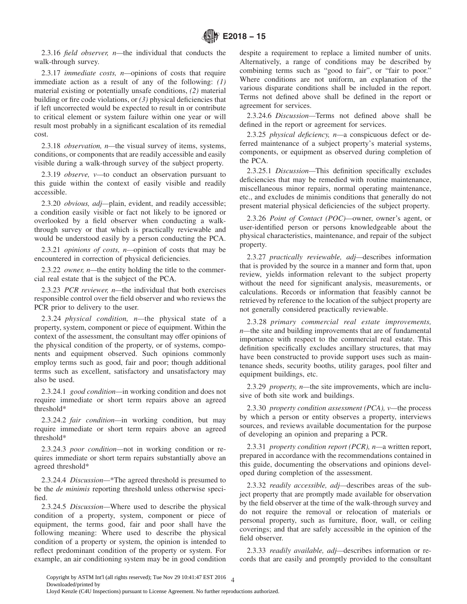2.3.16 *field observer, n—*the individual that conducts the walk-through survey.

2.3.17 *immediate costs, n—*opinions of costs that require immediate action as a result of any of the following: *(1)* material existing or potentially unsafe conditions, *(2)* material building or fire code violations, or *(3)* physical deficiencies that if left uncorrected would be expected to result in or contribute to critical element or system failure within one year or will result most probably in a significant escalation of its remedial cost.

2.3.18 *observation, n—*the visual survey of items, systems, conditions, or components that are readily accessible and easily visible during a walk-through survey of the subject property.

2.3.19 *observe, v—*to conduct an observation pursuant to this guide within the context of easily visible and readily accessible.

2.3.20 *obvious, adj—*plain, evident, and readily accessible; a condition easily visible or fact not likely to be ignored or overlooked by a field observer when conducting a walkthrough survey or that which is practically reviewable and would be understood easily by a person conducting the PCA.

2.3.21 *opinions of costs, n—*opinion of costs that may be encountered in correction of physical deficiencies.

2.3.22 *owner, n—*the entity holding the title to the commercial real estate that is the subject of the PCA.

2.3.23 *PCR reviewer, n—*the individual that both exercises responsible control over the field observer and who reviews the PCR prior to delivery to the user.

2.3.24 *physical condition, n—*the physical state of a property, system, component or piece of equipment. Within the context of the assessment, the consultant may offer opinions of the physical condition of the property, or of systems, components and equipment observed. Such opinions commonly employ terms such as good, fair and poor; though additional terms such as excellent, satisfactory and unsatisfactory may also be used.

2.3.24.1 *good condition—*in working condition and does not require immediate or short term repairs above an agreed threshold\*

2.3.24.2 *fair condition—*in working condition, but may require immediate or short term repairs above an agreed threshold\*

2.3.24.3 *poor condition—*not in working condition or requires immediate or short term repairs substantially above an agreed threshold\*

2.3.24.4 *Discussion—*\*The agreed threshold is presumed to be the *de minimis* reporting threshold unless otherwise specified.

2.3.24.5 *Discussion—*Where used to describe the physical condition of a property, system, component or piece of equipment, the terms good, fair and poor shall have the following meaning: Where used to describe the physical condition of a property or system, the opinion is intended to reflect predominant condition of the property or system. For example, an air conditioning system may be in good condition

despite a requirement to replace a limited number of units. Alternatively, a range of conditions may be described by combining terms such as "good to fair", or "fair to poor." Where conditions are not uniform, an explanation of the various disparate conditions shall be included in the report. Terms not defined above shall be defined in the report or agreement for services.

2.3.24.6 *Discussion—*Terms not defined above shall be defined in the report or agreement for services.

2.3.25 *physical deficiency, n—*a conspicuous defect or deferred maintenance of a subject property's material systems, components, or equipment as observed during completion of the PCA.

2.3.25.1 *Discussion—*This definition specifically excludes deficiencies that may be remedied with routine maintenance, miscellaneous minor repairs, normal operating maintenance, etc., and excludes de minimis conditions that generally do not present material physical deficiencies of the subject property.

2.3.26 *Point of Contact (POC)—*owner, owner's agent, or user-identified person or persons knowledgeable about the physical characteristics, maintenance, and repair of the subject property.

2.3.27 *practically reviewable, adj—*describes information that is provided by the source in a manner and form that, upon review, yields information relevant to the subject property without the need for significant analysis, measurements, or calculations. Records or information that feasibly cannot be retrieved by reference to the location of the subject property are not generally considered practically reviewable.

2.3.28 *primary commercial real estate improvements, n—*the site and building improvements that are of fundamental importance with respect to the commercial real estate. This definition specifically excludes ancillary structures, that may have been constructed to provide support uses such as maintenance sheds, security booths, utility garages, pool filter and equipment buildings, etc.

2.3.29 *property, n—*the site improvements, which are inclusive of both site work and buildings.

2.3.30 *property condition assessment (PCA), v—*the process by which a person or entity observes a property, interviews sources, and reviews available documentation for the purpose of developing an opinion and preparing a PCR.

2.3.31 *property condition report (PCR), n—*a written report, prepared in accordance with the recommendations contained in this guide, documenting the observations and opinions developed during completion of the assessment.

2.3.32 *readily accessible, adj—*describes areas of the subject property that are promptly made available for observation by the field observer at the time of the walk-through survey and do not require the removal or relocation of materials or personal property, such as furniture, floor, wall, or ceiling coverings; and that are safely accessible in the opinion of the field observer.

2.3.33 *readily available, adj—*describes information or records that are easily and promptly provided to the consultant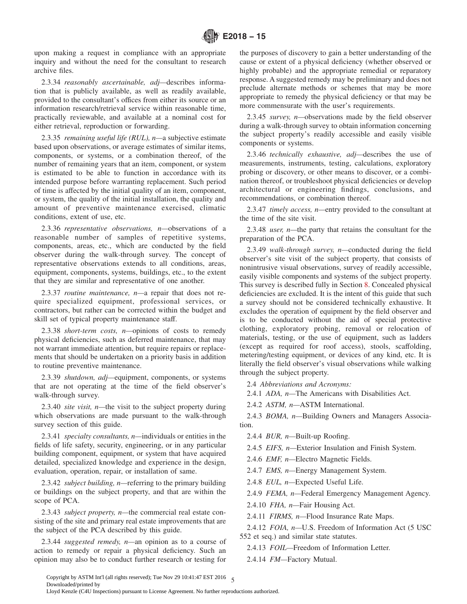<span id="page-4-0"></span>upon making a request in compliance with an appropriate inquiry and without the need for the consultant to research archive files.

2.3.34 *reasonably ascertainable, adj—*describes information that is publicly available, as well as readily available, provided to the consultant's offices from either its source or an information research/retrieval service within reasonable time, practically reviewable, and available at a nominal cost for either retrieval, reproduction or forwarding.

2.3.35 *remaining useful life (RUL), n—*a subjective estimate based upon observations, or average estimates of similar items, components, or systems, or a combination thereof, of the number of remaining years that an item, component, or system is estimated to be able to function in accordance with its intended purpose before warranting replacement. Such period of time is affected by the initial quality of an item, component, or system, the quality of the initial installation, the quality and amount of preventive maintenance exercised, climatic conditions, extent of use, etc.

2.3.36 *representative observations, n—*observations of a reasonable number of samples of repetitive systems, components, areas, etc., which are conducted by the field observer during the walk-through survey. The concept of representative observations extends to all conditions, areas, equipment, components, systems, buildings, etc., to the extent that they are similar and representative of one another.

2.3.37 *routine maintenance, n—*a repair that does not require specialized equipment, professional services, or contractors, but rather can be corrected within the budget and skill set of typical property maintenance staff.

2.3.38 *short-term costs, n—*opinions of costs to remedy physical deficiencies, such as deferred maintenance, that may not warrant immediate attention, but require repairs or replacements that should be undertaken on a priority basis in addition to routine preventive maintenance.

2.3.39 *shutdown, adj—*equipment, components, or systems that are not operating at the time of the field observer's walk-through survey.

2.3.40 *site visit, n—*the visit to the subject property during which observations are made pursuant to the walk-through survey section of this guide.

2.3.41 *specialty consultants, n—*individuals or entities in the fields of life safety, security, engineering, or in any particular building component, equipment, or system that have acquired detailed, specialized knowledge and experience in the design, evaluation, operation, repair, or installation of same.

2.3.42 *subject building, n—*referring to the primary building or buildings on the subject property, and that are within the scope of PCA.

2.3.43 *subject property, n—*the commercial real estate consisting of the site and primary real estate improvements that are the subject of the PCA described by this guide.

2.3.44 *suggested remedy, n—*an opinion as to a course of action to remedy or repair a physical deficiency. Such an opinion may also be to conduct further research or testing for the purposes of discovery to gain a better understanding of the cause or extent of a physical deficiency (whether observed or highly probable) and the appropriate remedial or reparatory response. A suggested remedy may be preliminary and does not preclude alternate methods or schemes that may be more appropriate to remedy the physical deficiency or that may be more commensurate with the user's requirements.

2.3.45 *survey, n—*observations made by the field observer during a walk-through survey to obtain information concerning the subject property's readily accessible and easily visible components or systems.

2.3.46 *technically exhaustive, adj—*describes the use of measurements, instruments, testing, calculations, exploratory probing or discovery, or other means to discover, or a combination thereof, or troubleshoot physical deficiencies or develop architectural or engineering findings, conclusions, and recommendations, or combination thereof.

2.3.47 *timely access, n—*entry provided to the consultant at the time of the site visit.

2.3.48 *user, n—*the party that retains the consultant for the preparation of the PCA.

2.3.49 *walk-through survey, n—*conducted during the field observer's site visit of the subject property, that consists of nonintrusive visual observations, survey of readily accessible, easily visible components and systems of the subject property. This survey is described fully in Section [8.](#page-9-0) Concealed physical deficiencies are excluded. It is the intent of this guide that such a survey should not be considered technically exhaustive. It excludes the operation of equipment by the field observer and is to be conducted without the aid of special protective clothing, exploratory probing, removal or relocation of materials, testing, or the use of equipment, such as ladders (except as required for roof access), stools, scaffolding, metering/testing equipment, or devices of any kind, etc. It is literally the field observer's visual observations while walking through the subject property.

2.4 *Abbreviations and Acronyms:*

2.4.1 *ADA, n—*The Americans with Disabilities Act.

2.4.2 *ASTM, n—*ASTM International.

2.4.3 *BOMA, n—*Building Owners and Managers Association.

2.4.4 *BUR, n—*Built-up Roofing.

2.4.5 *EIFS, n—*Exterior Insulation and Finish System.

2.4.6 *EMF, n—*Electro Magnetic Fields.

2.4.7 *EMS, n—*Energy Management System.

2.4.8 *EUL, n—*Expected Useful Life.

2.4.9 *FEMA, n—*Federal Emergency Management Agency.

2.4.10 *FHA, n—*Fair Housing Act.

2.4.11 *FIRMS, n—*Flood Insurance Rate Maps.

2.4.12 *FOIA, n—*U.S. Freedom of Information Act (5 USC 552 et seq.) and similar state statutes.

2.4.13 *FOIL—*Freedom of Information Letter.

2.4.14 *FM—*Factory Mutual.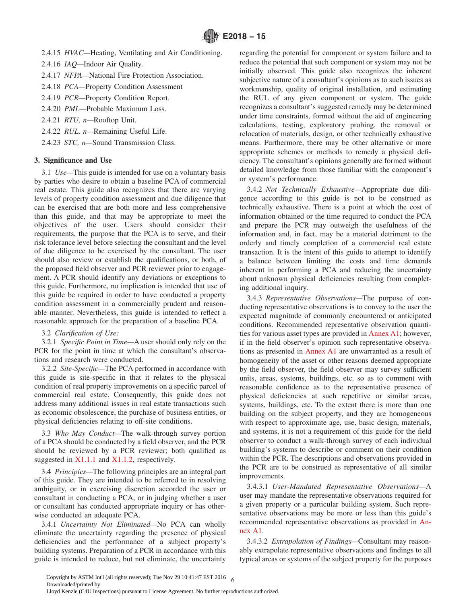- <span id="page-5-0"></span>2.4.15 *HVAC—*Heating, Ventilating and Air Conditioning.
- 2.4.16 *IAQ—*Indoor Air Quality.
- 2.4.17 *NFPA—*National Fire Protection Association.
- 2.4.18 *PCA—*Property Condition Assessment
- 2.4.19 *PCR—*Property Condition Report.
- 2.4.20 *PML—*Probable Maximum Loss.
- 2.4.21 *RTU, n—*Rooftop Unit.
- 2.4.22 *RUL, n—*Remaining Useful Life.
- 2.4.23 *STC, n—*Sound Transmission Class.

## **3. Significance and Use**

3.1 *Use—*This guide is intended for use on a voluntary basis by parties who desire to obtain a baseline PCA of commercial real estate. This guide also recognizes that there are varying levels of property condition assessment and due diligence that can be exercised that are both more and less comprehensive than this guide, and that may be appropriate to meet the objectives of the user. Users should consider their requirements, the purpose that the PCA is to serve, and their risk tolerance level before selecting the consultant and the level of due diligence to be exercised by the consultant. The user should also review or establish the qualifications, or both, of the proposed field observer and PCR reviewer prior to engagement. A PCR should identify any deviations or exceptions to this guide. Furthermore, no implication is intended that use of this guide be required in order to have conducted a property condition assessment in a commercially prudent and reasonable manner. Nevertheless, this guide is intended to reflect a reasonable approach for the preparation of a baseline PCA.

3.2 *Clarification of Use:*

3.2.1 *Specific Point in Time—*A user should only rely on the PCR for the point in time at which the consultant's observations and research were conducted.

3.2.2 *Site-Specific—*The PCA performed in accordance with this guide is site-specific in that it relates to the physical condition of real property improvements on a specific parcel of commercial real estate. Consequently, this guide does not address many additional issues in real estate transactions such as economic obsolescence, the purchase of business entities, or physical deficiencies relating to off-site conditions.

3.3 *Who May Conduct—*The walk-through survey portion of a PCA should be conducted by a field observer, and the PCR should be reviewed by a PCR reviewer; both qualified as suggested in [X1.1.1](#page-16-0) and [X1.1.2,](#page-16-0) respectively.

3.4 *Principles—*The following principles are an integral part of this guide. They are intended to be referred to in resolving ambiguity, or in exercising discretion accorded the user or consultant in conducting a PCA, or in judging whether a user or consultant has conducted appropriate inquiry or has otherwise conducted an adequate PCA.

3.4.1 *Uncertainty Not Eliminated—*No PCA can wholly eliminate the uncertainty regarding the presence of physical deficiencies and the performance of a subject property's building systems. Preparation of a PCR in accordance with this guide is intended to reduce, but not eliminate, the uncertainty regarding the potential for component or system failure and to reduce the potential that such component or system may not be initially observed. This guide also recognizes the inherent subjective nature of a consultant's opinions as to such issues as workmanship, quality of original installation, and estimating the RUL of any given component or system. The guide recognizes a consultant's suggested remedy may be determined under time constraints, formed without the aid of engineering calculations, testing, exploratory probing, the removal or relocation of materials, design, or other technically exhaustive means. Furthermore, there may be other alternative or more appropriate schemes or methods to remedy a physical deficiency. The consultant's opinions generally are formed without detailed knowledge from those familiar with the component's or system's performance.

3.4.2 *Not Technically Exhaustive—*Appropriate due diligence according to this guide is not to be construed as technically exhaustive. There is a point at which the cost of information obtained or the time required to conduct the PCA and prepare the PCR may outweigh the usefulness of the information and, in fact, may be a material detriment to the orderly and timely completion of a commercial real estate transaction. It is the intent of this guide to attempt to identify a balance between limiting the costs and time demands inherent in performing a PCA and reducing the uncertainty about unknown physical deficiencies resulting from completing additional inquiry.

3.4.3 *Representative Observations—*The purpose of conducting representative observations is to convey to the user the expected magnitude of commonly encountered or anticipated conditions. Recommended representative observation quantities for various asset types are provided in [Annex A1;](#page-14-0) however, if in the field observer's opinion such representative observations as presented in [Annex A1](#page-14-0) are unwarranted as a result of homogeneity of the asset or other reasons deemed appropriate by the field observer, the field observer may survey sufficient units, areas, systems, buildings, etc. so as to comment with reasonable confidence as to the representative presence of physical deficiencies at such repetitive or similar areas, systems, buildings, etc. To the extent there is more than one building on the subject property, and they are homogeneous with respect to approximate age, use, basic design, materials, and systems, it is not a requirement of this guide for the field observer to conduct a walk-through survey of each individual building's systems to describe or comment on their condition within the PCR. The descriptions and observations provided in the PCR are to be construed as representative of all similar improvements.

3.4.3.1 *User-Mandated Representative Observations—*A user may mandate the representative observations required for a given property or a particular building system. Such representative observations may be more or less than this guide's recommended representative observations as provided in [An](#page-14-0)[nex A1.](#page-14-0)

3.4.3.2 *Extrapolation of Findings—*Consultant may reasonably extrapolate representative observations and findings to all typical areas or systems of the subject property for the purposes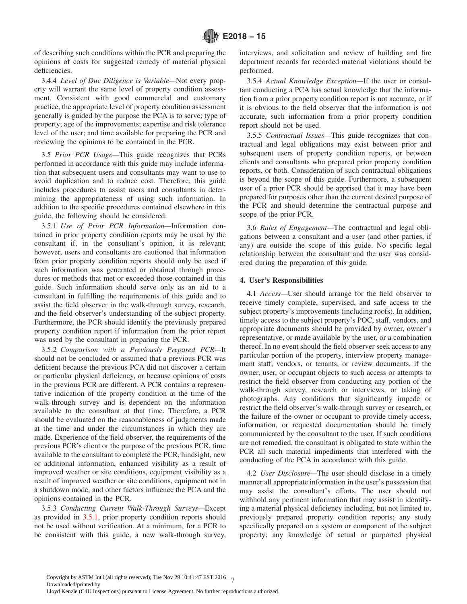<span id="page-6-0"></span>of describing such conditions within the PCR and preparing the opinions of costs for suggested remedy of material physical deficiencies.

3.4.4 *Level of Due Diligence is Variable—*Not every property will warrant the same level of property condition assessment. Consistent with good commercial and customary practice, the appropriate level of property condition assessment generally is guided by the purpose the PCA is to serve; type of property; age of the improvements; expertise and risk tolerance level of the user; and time available for preparing the PCR and reviewing the opinions to be contained in the PCR.

3.5 *Prior PCR Usage—*This guide recognizes that PCRs performed in accordance with this guide may include information that subsequent users and consultants may want to use to avoid duplication and to reduce cost. Therefore, this guide includes procedures to assist users and consultants in determining the appropriateness of using such information. In addition to the specific procedures contained elsewhere in this guide, the following should be considered:

3.5.1 *Use of Prior PCR Information—*Information contained in prior property condition reports may be used by the consultant if, in the consultant's opinion, it is relevant; however, users and consultants are cautioned that information from prior property condition reports should only be used if such information was generated or obtained through procedures or methods that met or exceeded those contained in this guide. Such information should serve only as an aid to a consultant in fulfilling the requirements of this guide and to assist the field observer in the walk-through survey, research, and the field observer's understanding of the subject property. Furthermore, the PCR should identify the previously prepared property condition report if information from the prior report was used by the consultant in preparing the PCR.

3.5.2 *Comparison with a Previously Prepared PCR—*It should not be concluded or assumed that a previous PCR was deficient because the previous PCA did not discover a certain or particular physical deficiency, or because opinions of costs in the previous PCR are different. A PCR contains a representative indication of the property condition at the time of the walk-through survey and is dependent on the information available to the consultant at that time. Therefore, a PCR should be evaluated on the reasonableness of judgments made at the time and under the circumstances in which they are made. Experience of the field observer, the requirements of the previous PCR's client or the purpose of the previous PCR, time available to the consultant to complete the PCR, hindsight, new or additional information, enhanced visibility as a result of improved weather or site conditions, equipment visibility as a result of improved weather or site conditions, equipment not in a shutdown mode, and other factors influence the PCA and the opinions contained in the PCR.

3.5.3 *Conducting Current Walk-Through Surveys—*Except as provided in 3.5.1, prior property condition reports should not be used without verification. At a minimum, for a PCR to be consistent with this guide, a new walk-through survey, interviews, and solicitation and review of building and fire department records for recorded material violations should be performed.

3.5.4 *Actual Knowledge Exception—*If the user or consultant conducting a PCA has actual knowledge that the information from a prior property condition report is not accurate, or if it is obvious to the field observer that the information is not accurate, such information from a prior property condition report should not be used.

3.5.5 *Contractual Issues—*This guide recognizes that contractual and legal obligations may exist between prior and subsequent users of property condition reports, or between clients and consultants who prepared prior property condition reports, or both. Consideration of such contractual obligations is beyond the scope of this guide. Furthermore, a subsequent user of a prior PCR should be apprised that it may have been prepared for purposes other than the current desired purpose of the PCR and should determine the contractual purpose and scope of the prior PCR.

3.6 *Rules of Engagement—*The contractual and legal obligations between a consultant and a user (and other parties, if any) are outside the scope of this guide. No specific legal relationship between the consultant and the user was considered during the preparation of this guide.

## **4. User's Responsibilities**

4.1 *Access—*User should arrange for the field observer to receive timely complete, supervised, and safe access to the subject property's improvements (including roofs). In addition, timely access to the subject property's POC, staff, vendors, and appropriate documents should be provided by owner, owner's representative, or made available by the user, or a combination thereof. In no event should the field observer seek access to any particular portion of the property, interview property management staff, vendors, or tenants, or review documents, if the owner, user, or occupant objects to such access or attempts to restrict the field observer from conducting any portion of the walk-through survey, research or interviews, or taking of photographs. Any conditions that significantly impede or restrict the field observer's walk-through survey or research, or the failure of the owner or occupant to provide timely access, information, or requested documentation should be timely communicated by the consultant to the user. If such conditions are not remedied, the consultant is obligated to state within the PCR all such material impediments that interfered with the conducting of the PCA in accordance with this guide.

4.2 *User Disclosure—*The user should disclose in a timely manner all appropriate information in the user's possession that may assist the consultant's efforts. The user should not withhold any pertinent information that may assist in identifying a material physical deficiency including, but not limited to, previously prepared property condition reports; any study specifically prepared on a system or component of the subject property; any knowledge of actual or purported physical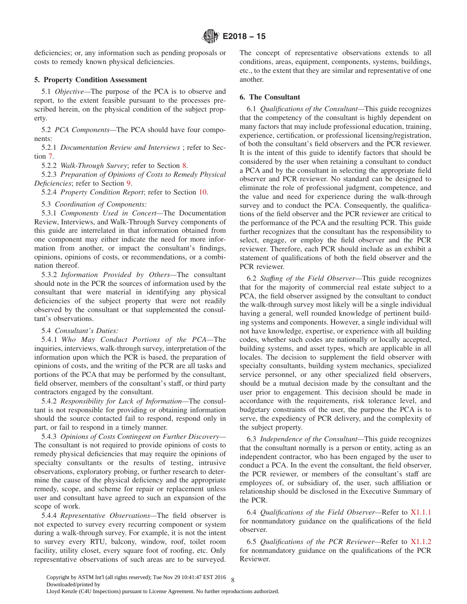<span id="page-7-0"></span>deficiencies; or, any information such as pending proposals or costs to remedy known physical deficiencies.

## **5. Property Condition Assessment**

5.1 *Objective—*The purpose of the PCA is to observe and report, to the extent feasible pursuant to the processes prescribed herein, on the physical condition of the subject property.

5.2 *PCA Components—*The PCA should have four components:

5.2.1 *Documentation Review and Interviews* ; refer to Section [7.](#page-8-0)

5.2.2 *Walk-Through Survey*; refer to Section [8.](#page-9-0)

5.2.3 *Preparation of Opinions of Costs to Remedy Physical Deficiencies*; refer to Section [9.](#page-11-0)

5.2.4 *Property Condition Report*; refer to Section [10.](#page-11-0)

5.3 *Coordination of Components:*

5.3.1 *Components Used in Concert—*The Documentation Review, Interviews, and Walk-Through Survey components of this guide are interrelated in that information obtained from one component may either indicate the need for more information from another, or impact the consultant's findings, opinions, opinions of costs, or recommendations, or a combination thereof.

5.3.2 *Information Provided by Others—*The consultant should note in the PCR the sources of information used by the consultant that were material in identifying any physical deficiencies of the subject property that were not readily observed by the consultant or that supplemented the consultant's observations.

## 5.4 *Consultant's Duties:*

5.4.1 *Who May Conduct Portions of the PCA—*The inquiries, interviews, walk-through survey, interpretation of the information upon which the PCR is based, the preparation of opinions of costs, and the writing of the PCR are all tasks and portions of the PCA that may be performed by the consultant, field observer, members of the consultant's staff, or third party contractors engaged by the consultant.

5.4.2 *Responsibility for Lack of Information—*The consultant is not responsible for providing or obtaining information should the source contacted fail to respond, respond only in part, or fail to respond in a timely manner.

5.4.3 *Opinions of Costs Contingent on Further Discovery—* The consultant is not required to provide opinions of costs to remedy physical deficiencies that may require the opinions of specialty consultants or the results of testing, intrusive observations, exploratory probing, or further research to determine the cause of the physical deficiency and the appropriate remedy, scope, and scheme for repair or replacement unless user and consultant have agreed to such an expansion of the scope of work.

5.4.4 *Representative Observations—*The field observer is not expected to survey every recurring component or system during a walk-through survey. For example, it is not the intent to survey every RTU, balcony, window, roof, toilet room facility, utility closet, every square foot of roofing, etc. Only representative observations of such areas are to be surveyed. The concept of representative observations extends to all conditions, areas, equipment, components, systems, buildings, etc., to the extent that they are similar and representative of one another.

## **6. The Consultant**

6.1 *Qualifications of the Consultant—*This guide recognizes that the competency of the consultant is highly dependent on many factors that may include professional education, training, experience, certification, or professional licensing/registration, of both the consultant's field observers and the PCR reviewer. It is the intent of this guide to identify factors that should be considered by the user when retaining a consultant to conduct a PCA and by the consultant in selecting the appropriate field observer and PCR reviewer. No standard can be designed to eliminate the role of professional judgment, competence, and the value and need for experience during the walk-through survey and to conduct the PCA. Consequently, the qualifications of the field observer and the PCR reviewer are critical to the performance of the PCA and the resulting PCR. This guide further recognizes that the consultant has the responsibility to select, engage, or employ the field observer and the PCR reviewer. Therefore, each PCR should include as an exhibit a statement of qualifications of both the field observer and the PCR reviewer.

6.2 *Staffıng of the Field Observer—*This guide recognizes that for the majority of commercial real estate subject to a PCA, the field observer assigned by the consultant to conduct the walk-through survey most likely will be a single individual having a general, well rounded knowledge of pertinent building systems and components. However, a single individual will not have knowledge, expertise, or experience with all building codes, whether such codes are nationally or locally accepted, building systems, and asset types, which are applicable in all locales. The decision to supplement the field observer with specialty consultants, building system mechanics, specialized service personnel, or any other specialized field observers, should be a mutual decision made by the consultant and the user prior to engagement. This decision should be made in accordance with the requirements, risk tolerance level, and budgetary constraints of the user, the purpose the PCA is to serve, the expediency of PCR delivery, and the complexity of the subject property.

6.3 *Independence of the Consultant—*This guide recognizes that the consultant normally is a person or entity, acting as an independent contractor, who has been engaged by the user to conduct a PCA. In the event the consultant, the field observer, the PCR reviewer, or members of the consultant's staff are employees of, or subsidiary of, the user, such affiliation or relationship should be disclosed in the Executive Summary of the PCR.

6.4 *Qualifications of the Field Observer—*Refer to [X1.1.1](#page-16-0) for nonmandatory guidance on the qualifications of the field observer.

6.5 *Qualifications of the PCR Reviewer—*Refer to [X1.1.2](#page-16-0) for nonmandatory guidance on the qualifications of the PCR Reviewer.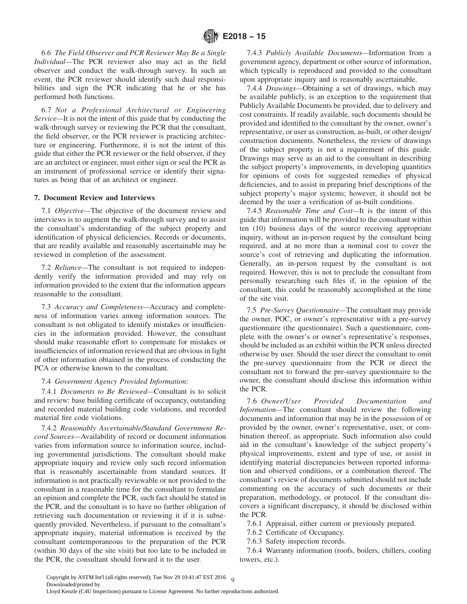<span id="page-8-0"></span>6.6 *The Field Observer and PCR Reviewer May Be a Single Individual—*The PCR reviewer also may act as the field observer and conduct the walk-through survey. In such an event, the PCR reviewer should identify such dual responsibilities and sign the PCR indicating that he or she has performed both functions.

6.7 *Not a Professional Architectural or Engineering Service—*It is not the intent of this guide that by conducting the walk-through survey or reviewing the PCR that the consultant, the field observer, or the PCR reviewer is practicing architecture or engineering. Furthermore, it is not the intent of this guide that either the PCR reviewer or the field observer, if they are an architect or engineer, must either sign or seal the PCR as an instrument of professional service or identify their signatures as being that of an architect or engineer.

#### **7. Document Review and Interviews**

7.1 *Objective—*The objective of the document review and interviews is to augment the walk-through survey and to assist the consultant's understanding of the subject property and identification of physical deficiencies. Records or documents, that are readily available and reasonably ascertainable may be reviewed in completion of the assessment.

7.2 *Reliance—*The consultant is not required to independently verify the information provided and may rely on information provided to the extent that the information appears reasonable to the consultant.

7.3 *Accuracy and Completeness—*Accuracy and completeness of information varies among information sources. The consultant is not obligated to identify mistakes or insufficiencies in the information provided. However, the consultant should make reasonable effort to compensate for mistakes or insufficiencies of information reviewed that are obvious in light of other information obtained in the process of conducting the PCA or otherwise known to the consultant.

#### 7.4 *Government Agency Provided Information:*

7.4.1 *Documents to Be Reviewed—*Consultant is to solicit and review: base building certificate of occupancy, outstanding and recorded material building code violations, and recorded material fire code violations.

7.4.2 *Reasonably Ascertainable/Standard Government Record Sources—*Availability of record or document information varies from information source to information source, including governmental jurisdictions. The consultant should make appropriate inquiry and review only such record information that is reasonably ascertainable from standard sources. If information is not practically reviewable or not provided to the consultant in a reasonable time for the consultant to formulate an opinion and complete the PCR, such fact should be stated in the PCR, and the consultant is to have no further obligation of retrieving such documentation or reviewing it if it is subsequently provided. Nevertheless, if pursuant to the consultant's appropriate inquiry, material information is received by the consultant contemporaneous to the preparation of the PCR (within 30 days of the site visit) but too late to be included in the PCR, the consultant should forward it to the user.

7.4.3 *Publicly Available Documents—*Information from a government agency, department or other source of information, which typically is reproduced and provided to the consultant upon appropriate inquiry and is reasonably ascertainable.

7.4.4 *Drawings—*Obtaining a set of drawings, which may be available publicly, is an exception to the requirement that Publicly Available Documents be provided, due to delivery and cost constraints. If readily available, such documents should be provided and identified to the consultant by the owner, owner's representative, or user as construction, as-built, or other design/ construction documents. Nonetheless, the review of drawings of the subject property is not a requirement of this guide. Drawings may serve as an aid to the consultant in describing the subject property's improvements, in developing quantities for opinions of costs for suggested remedies of physical deficiencies, and to assist in preparing brief descriptions of the subject property's major systems; however, it should not be deemed by the user a verification of as-built conditions.

7.4.5 *Reasonable Time and Cost—*It is the intent of this guide that information will be provided to the consultant within ten (10) business days of the source receiving appropriate inquiry, without an in-person request by the consultant being required, and at no more than a nominal cost to cover the source's cost of retrieving and duplicating the information. Generally, an in-person request by the consultant is not required. However, this is not to preclude the consultant from personally researching such files if, in the opinion of the consultant, this could be reasonably accomplished at the time of the site visit.

7.5 *Pre-Survey Questionnaire—*The consultant may provide the owner, POC, or owner's representative with a pre-survey questionnaire (the questionnaire). Such a questionnaire, complete with the owner's or owner's representative's responses, should be included as an exhibit within the PCR unless directed otherwise by user. Should the user direct the consultant to omit the pre-survey questionnaire from the PCR or direct the consultant not to forward the pre-survey questionnaire to the owner, the consultant should disclose this information within the PCR.

7.6 *Owner/User Provided Documentation and Information—*The consultant should review the following documents and information that may be in the possession of or provided by the owner, owner's representative, user, or combination thereof, as appropriate. Such information also could aid in the consultant's knowledge of the subject property's physical improvements, extent and type of use, or assist in identifying material discrepancies between reported information and observed conditions, or a combination thereof. The consultant's review of documents submitted should not include commenting on the accuracy of such documents or their preparation, methodology, or protocol. If the consultant discovers a significant discrepancy, it should be disclosed within the PCR.

7.6.1 Appraisal, either current or previously prepared.

- 7.6.2 Certificate of Occupancy.
- 7.6.3 Safety inspection records.

7.6.4 Warranty information (roofs, boilers, chillers, cooling towers, etc.).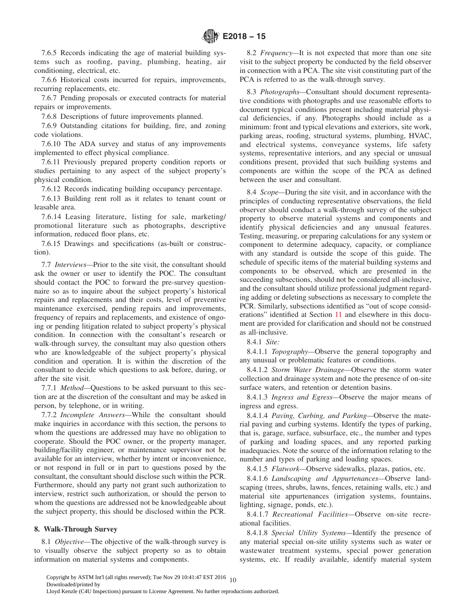<span id="page-9-0"></span>7.6.5 Records indicating the age of material building systems such as roofing, paving, plumbing, heating, air conditioning, electrical, etc.

7.6.6 Historical costs incurred for repairs, improvements, recurring replacements, etc.

7.6.7 Pending proposals or executed contracts for material repairs or improvements.

7.6.8 Descriptions of future improvements planned.

7.6.9 Outstanding citations for building, fire, and zoning code violations.

7.6.10 The ADA survey and status of any improvements implemented to effect physical compliance.

7.6.11 Previously prepared property condition reports or studies pertaining to any aspect of the subject property's physical condition.

7.6.12 Records indicating building occupancy percentage.

7.6.13 Building rent roll as it relates to tenant count or leasable area.

7.6.14 Leasing literature, listing for sale, marketing/ promotional literature such as photographs, descriptive information, reduced floor plans, etc.

7.6.15 Drawings and specifications (as-built or construction).

7.7 *Interviews—*Prior to the site visit, the consultant should ask the owner or user to identify the POC. The consultant should contact the POC to forward the pre-survey questionnaire so as to inquire about the subject property's historical repairs and replacements and their costs, level of preventive maintenance exercised, pending repairs and improvements, frequency of repairs and replacements, and existence of ongoing or pending litigation related to subject property's physical condition. In connection with the consultant's research or walk-through survey, the consultant may also question others who are knowledgeable of the subject property's physical condition and operation. It is within the discretion of the consultant to decide which questions to ask before, during, or after the site visit.

7.7.1 *Method—*Questions to be asked pursuant to this section are at the discretion of the consultant and may be asked in person, by telephone, or in writing.

7.7.2 *Incomplete Answers—*While the consultant should make inquiries in accordance with this section, the persons to whom the questions are addressed may have no obligation to cooperate. Should the POC owner, or the property manager, building/facility engineer, or maintenance supervisor not be available for an interview, whether by intent or inconvenience, or not respond in full or in part to questions posed by the consultant, the consultant should disclose such within the PCR. Furthermore, should any party not grant such authorization to interview, restrict such authorization, or should the person to whom the questions are addressed not be knowledgeable about the subject property, this should be disclosed within the PCR.

## **8. Walk-Through Survey**

8.1 *Objective—*The objective of the walk-through survey is to visually observe the subject property so as to obtain information on material systems and components.

8.2 *Frequency—*It is not expected that more than one site visit to the subject property be conducted by the field observer in connection with a PCA. The site visit constituting part of the PCA is referred to as the walk-through survey.

8.3 *Photographs—*Consultant should document representative conditions with photographs and use reasonable efforts to document typical conditions present including material physical deficiencies, if any. Photographs should include as a minimum: front and typical elevations and exteriors, site work, parking areas, roofing, structural systems, plumbing, HVAC, and electrical systems, conveyance systems, life safety systems, representative interiors, and any special or unusual conditions present, provided that such building systems and components are within the scope of the PCA as defined between the user and consultant.

8.4 *Scope—*During the site visit, and in accordance with the principles of conducting representative observations, the field observer should conduct a walk-through survey of the subject property to observe material systems and components and identify physical deficiencies and any unusual features. Testing, measuring, or preparing calculations for any system or component to determine adequacy, capacity, or compliance with any standard is outside the scope of this guide. The schedule of specific items of the material building systems and components to be observed, which are presented in the succeeding subsections, should not be considered all-inclusive, and the consultant should utilize professional judgment regarding adding or deleting subsections as necessary to complete the PCR. Similarly, subsections identified as "out of scope considerations" identified at Section [11](#page-12-0) and elsewhere in this document are provided for clarification and should not be construed as all-inclusive.

8.4.1 *Site:*

8.4.1.1 *Topography—*Observe the general topography and any unusual or problematic features or conditions.

8.4.1.2 *Storm Water Drainage—*Observe the storm water collection and drainage system and note the presence of on-site surface waters, and retention or detention basins.

8.4.1.3 *Ingress and Egress—*Observe the major means of ingress and egress.

8.4.1.4 *Paving, Curbing, and Parking—*Observe the material paving and curbing systems. Identify the types of parking, that is, garage, surface, subsurface, etc., the number and types of parking and loading spaces, and any reported parking inadequacies. Note the source of the information relating to the number and types of parking and loading spaces.

8.4.1.5 *Flatwork—*Observe sidewalks, plazas, patios, etc.

8.4.1.6 *Landscaping and Appurtenances—*Observe landscaping (trees, shrubs, lawns, fences, retaining walls, etc.) and material site appurtenances (irrigation systems, fountains, lighting, signage, ponds, etc.).

8.4.1.7 *Recreational Facilities—*Observe on-site recreational facilities.

8.4.1.8 *Special Utility Systems—*Identify the presence of any material special on-site utility systems such as water or wastewater treatment systems, special power generation systems, etc. If readily available, identify material system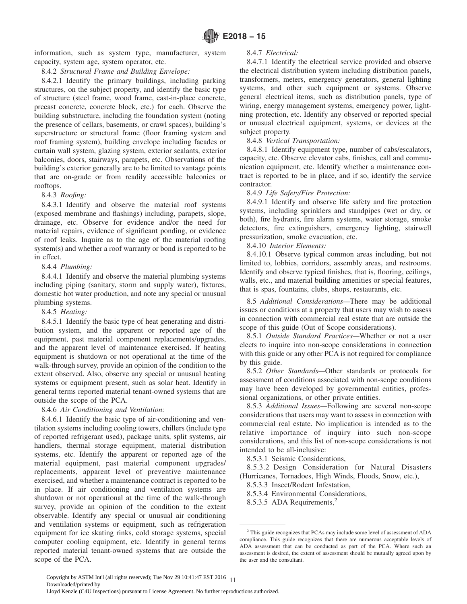<span id="page-10-0"></span>information, such as system type, manufacturer, system capacity, system age, system operator, etc.

8.4.2 *Structural Frame and Building Envelope:*

8.4.2.1 Identify the primary buildings, including parking structures, on the subject property, and identify the basic type of structure (steel frame, wood frame, cast-in-place concrete, precast concrete, concrete block, etc.) for each. Observe the building substructure, including the foundation system (noting the presence of cellars, basements, or crawl spaces), building's superstructure or structural frame (floor framing system and roof framing system), building envelope including facades or curtain wall system, glazing system, exterior sealants, exterior balconies, doors, stairways, parapets, etc. Observations of the building's exterior generally are to be limited to vantage points that are on-grade or from readily accessible balconies or rooftops.

## 8.4.3 *Roofing:*

8.4.3.1 Identify and observe the material roof systems (exposed membrane and flashings) including, parapets, slope, drainage, etc. Observe for evidence and/or the need for material repairs, evidence of significant ponding, or evidence of roof leaks. Inquire as to the age of the material roofing system(s) and whether a roof warranty or bond is reported to be in effect.

## 8.4.4 *Plumbing:*

8.4.4.1 Identify and observe the material plumbing systems including piping (sanitary, storm and supply water), fixtures, domestic hot water production, and note any special or unusual plumbing systems.

## 8.4.5 *Heating:*

8.4.5.1 Identify the basic type of heat generating and distribution system, and the apparent or reported age of the equipment, past material component replacements/upgrades, and the apparent level of maintenance exercised. If heating equipment is shutdown or not operational at the time of the walk-through survey, provide an opinion of the condition to the extent observed. Also, observe any special or unusual heating systems or equipment present, such as solar heat. Identify in general terms reported material tenant-owned systems that are outside the scope of the PCA.

## 8.4.6 *Air Conditioning and Ventilation:*

8.4.6.1 Identify the basic type of air-conditioning and ventilation systems including cooling towers, chillers (include type of reported refrigerant used), package units, split systems, air handlers, thermal storage equipment, material distribution systems, etc. Identify the apparent or reported age of the material equipment, past material component upgrades/ replacements, apparent level of preventive maintenance exercised, and whether a maintenance contract is reported to be in place. If air conditioning and ventilation systems are shutdown or not operational at the time of the walk-through survey, provide an opinion of the condition to the extent observable. Identify any special or unusual air conditioning and ventilation systems or equipment, such as refrigeration equipment for ice skating rinks, cold storage systems, special computer cooling equipment, etc. Identify in general terms reported material tenant-owned systems that are outside the scope of the PCA.

## 8.4.7 *Electrical:*

8.4.7.1 Identify the electrical service provided and observe the electrical distribution system including distribution panels, transformers, meters, emergency generators, general lighting systems, and other such equipment or systems. Observe general electrical items, such as distribution panels, type of wiring, energy management systems, emergency power, lightning protection, etc. Identify any observed or reported special or unusual electrical equipment, systems, or devices at the subject property.

8.4.8 *Vertical Transportation:*

8.4.8.1 Identify equipment type, number of cabs/escalators, capacity, etc. Observe elevator cabs, finishes, call and communication equipment, etc. Identify whether a maintenance contract is reported to be in place, and if so, identify the service contractor.

## 8.4.9 *Life Safety/Fire Protection:*

8.4.9.1 Identify and observe life safety and fire protection systems, including sprinklers and standpipes (wet or dry, or both), fire hydrants, fire alarm systems, water storage, smoke detectors, fire extinguishers, emergency lighting, stairwell pressurization, smoke evacuation, etc.

## 8.4.10 *Interior Elements:*

8.4.10.1 Observe typical common areas including, but not limited to, lobbies, corridors, assembly areas, and restrooms. Identify and observe typical finishes, that is, flooring, ceilings, walls, etc., and material building amenities or special features, that is spas, fountains, clubs, shops, restaurants, etc.

8.5 *Additional Considerations—*There may be additional issues or conditions at a property that users may wish to assess in connection with commercial real estate that are outside the scope of this guide (Out of Scope considerations).

8.5.1 *Outside Standard Practices—*Whether or not a user elects to inquire into non-scope considerations in connection with this guide or any other PCA is not required for compliance by this guide.

8.5.2 *Other Standards—*Other standards or protocols for assessment of conditions associated with non-scope conditions may have been developed by governmental entities, professional organizations, or other private entities.

8.5.3 *Additional Issues—*Following are several non-scope considerations that users may want to assess in connection with commercial real estate. No implication is intended as to the relative importance of inquiry into such non-scope considerations, and this list of non-scope considerations is not intended to be all-inclusive:

8.5.3.1 Seismic Considerations,

8.5.3.2 Design Consideration for Natural Disasters (Hurricanes, Tornadoes, High Winds, Floods, Snow, etc.),

8.5.3.3 Insect/Rodent Infestation,

8.5.3.4 Environmental Considerations,

8.5.3.5 ADA Requirements,<sup>2</sup>

<sup>2</sup> This guide recognizes that PCAs may include some level of assessment of ADA compliance. This guide recognizes that there are numerous acceptable levels of ADA assessment that can be conducted as part of the PCA. Where such an assessment is desired, the extent of assessment should be mutually agreed upon by the user and the consultant.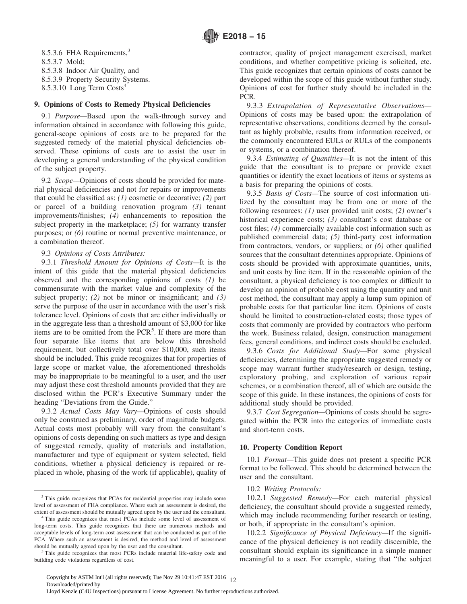<span id="page-11-0"></span>8.5.3.6 FHA Requirements,<sup>3</sup> 8.5.3.7 Mold; 8.5.3.8 Indoor Air Quality, and 8.5.3.9 Property Security Systems. 8.5.3.10 Long Term Costs4

#### **9. Opinions of Costs to Remedy Physical Deficiencies**

9.1 *Purpose—*Based upon the walk-through survey and information obtained in accordance with following this guide, general-scope opinions of costs are to be prepared for the suggested remedy of the material physical deficiencies observed. These opinions of costs are to assist the user in developing a general understanding of the physical condition of the subject property.

9.2 *Scope—*Opinions of costs should be provided for material physical deficiencies and not for repairs or improvements that could be classified as: *(1)* cosmetic or decorative; *(2)* part or parcel of a building renovation program *(3)* tenant improvements/finishes; *(4)* enhancements to reposition the subject property in the marketplace; *(5)* for warranty transfer purposes; or *(6)* routine or normal preventive maintenance, or a combination thereof.

## 9.3 *Opinions of Costs Attributes:*

9.3.1 *Threshold Amount for Opinions of Costs—*It is the intent of this guide that the material physical deficiencies observed and the corresponding opinions of costs *(1)* be commensurate with the market value and complexity of the subject property; *(2)* not be minor or insignificant; and *(3)* serve the purpose of the user in accordance with the user's risk tolerance level. Opinions of costs that are either individually or in the aggregate less than a threshold amount of \$3,000 for like items are to be omitted from the PCR<sup>5</sup>. If there are more than four separate like items that are below this threshold requirement, but collectively total over \$10,000, such items should be included. This guide recognizes that for properties of large scope or market value, the aforementioned thresholds may be inappropriate to be meaningful to a user, and the user may adjust these cost threshold amounts provided that they are disclosed within the PCR's Executive Summary under the heading "Deviations from the Guide."

9.3.2 *Actual Costs May Vary—*Opinions of costs should only be construed as preliminary, order of magnitude budgets. Actual costs most probably will vary from the consultant's opinions of costs depending on such matters as type and design of suggested remedy, quality of materials and installation, manufacturer and type of equipment or system selected, field conditions, whether a physical deficiency is repaired or replaced in whole, phasing of the work (if applicable), quality of contractor, quality of project management exercised, market conditions, and whether competitive pricing is solicited, etc. This guide recognizes that certain opinions of costs cannot be developed within the scope of this guide without further study. Opinions of cost for further study should be included in the PCR.

9.3.3 *Extrapolation of Representative Observations—* Opinions of costs may be based upon: the extrapolation of representative observations, conditions deemed by the consultant as highly probable, results from information received, or the commonly encountered EULs or RULs of the components or systems, or a combination thereof.

9.3.4 *Estimating of Quantities—*It is not the intent of this guide that the consultant is to prepare or provide exact quantities or identify the exact locations of items or systems as a basis for preparing the opinions of costs.

9.3.5 *Basis of Costs—*The source of cost information utilized by the consultant may be from one or more of the following resources: *(1)* user provided unit costs; *(2)* owner's historical experience costs; *(3)* consultant's cost database or cost files; *(4)* commercially available cost information such as published commercial data; *(5)* third-party cost information from contractors, vendors, or suppliers; or *(6)* other qualified sources that the consultant determines appropriate. Opinions of costs should be provided with approximate quantities, units, and unit costs by line item. If in the reasonable opinion of the consultant, a physical deficiency is too complex or difficult to develop an opinion of probable cost using the quantity and unit cost method, the consultant may apply a lump sum opinion of probable costs for that particular line item. Opinions of costs should be limited to construction-related costs; those types of costs that commonly are provided by contractors who perform the work. Business related, design, construction management fees, general conditions, and indirect costs should be excluded.

9.3.6 *Costs for Additional Study—*For some physical deficiencies, determining the appropriate suggested remedy or scope may warrant further study/research or design, testing, exploratory probing, and exploration of various repair schemes, or a combination thereof, all of which are outside the scope of this guide. In these instances, the opinions of costs for additional study should be provided.

9.3.7 *Cost Segregation—*Opinions of costs should be segregated within the PCR into the categories of immediate costs and short-term costs.

## **10. Property Condition Report**

10.1 *Format—*This guide does not present a specific PCR format to be followed. This should be determined between the user and the consultant.

#### 10.2 *Writing Protocols:*

10.2.1 *Suggested Remedy—*For each material physical deficiency, the consultant should provide a suggested remedy, which may include recommending further research or testing, or both, if appropriate in the consultant's opinion.

10.2.2 *Significance of Physical Deficiency—*If the significance of the physical deficiency is not readily discernible, the consultant should explain its significance in a simple manner meaningful to a user. For example, stating that "the subject

<sup>&</sup>lt;sup>3</sup> This guide recognizes that PCAs for residential properties may include some level of assessment of FHA compliance. Where such an assessment is desired, the extent of assessment should be mutually agreed upon by the user and the consultant.

<sup>4</sup> This guide recognizes that most PCAs include some level of assessment of long-term costs. This guide recognizes that there are numerous methods and acceptable levels of long-term cost assessment that can be conducted as part of the PCA. Where such an assessment is desired, the method and level of assessment should be mutually agreed upon by the user and the consultant.

<sup>&</sup>lt;sup>5</sup> This guide recognizes that most PCRs include material life-safety code and building code violations regardless of cost.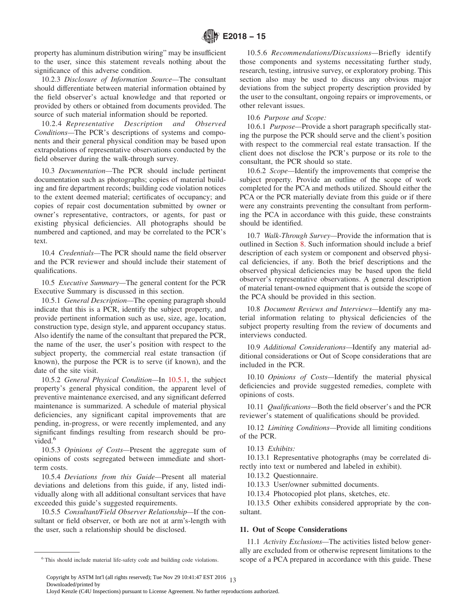<span id="page-12-0"></span>property has aluminum distribution wiring" may be insufficient to the user, since this statement reveals nothing about the significance of this adverse condition.

10.2.3 *Disclosure of Information Source—*The consultant should differentiate between material information obtained by the field observer's actual knowledge and that reported or provided by others or obtained from documents provided. The source of such material information should be reported.

10.2.4 *Representative Description and Observed Conditions—*The PCR's descriptions of systems and components and their general physical condition may be based upon extrapolations of representative observations conducted by the field observer during the walk-through survey.

10.3 *Documentation—*The PCR should include pertinent documentation such as photographs; copies of material building and fire department records; building code violation notices to the extent deemed material; certificates of occupancy; and copies of repair cost documentation submitted by owner or owner's representative, contractors, or agents, for past or existing physical deficiencies. All photographs should be numbered and captioned, and may be correlated to the PCR's text.

10.4 *Credentials—*The PCR should name the field observer and the PCR reviewer and should include their statement of qualifications.

10.5 *Executive Summary—*The general content for the PCR Executive Summary is discussed in this section.

10.5.1 *General Description—*The opening paragraph should indicate that this is a PCR, identify the subject property, and provide pertinent information such as use, size, age, location, construction type, design style, and apparent occupancy status. Also identify the name of the consultant that prepared the PCR, the name of the user, the user's position with respect to the subject property, the commercial real estate transaction (if known), the purpose the PCR is to serve (if known), and the date of the site visit.

10.5.2 *General Physical Condition—*In 10.5.1, the subject property's general physical condition, the apparent level of preventive maintenance exercised, and any significant deferred maintenance is summarized. A schedule of material physical deficiencies, any significant capital improvements that are pending, in-progress, or were recently implemented, and any significant findings resulting from research should be provided.<sup>6</sup>

10.5.3 *Opinions of Costs—*Present the aggregate sum of opinions of costs segregated between immediate and shortterm costs.

10.5.4 *Deviations from this Guide—*Present all material deviations and deletions from this guide, if any, listed individually along with all additional consultant services that have exceeded this guide's suggested requirements.

10.5.5 *Consultant/Field Observer Relationship—*If the consultant or field observer, or both are not at arm's-length with the user, such a relationship should be disclosed.

10.5.6 *Recommendations/Discussions—*Briefly identify those components and systems necessitating further study, research, testing, intrusive survey, or exploratory probing. This section also may be used to discuss any obvious major deviations from the subject property description provided by the user to the consultant, ongoing repairs or improvements, or other relevant issues.

10.6 *Purpose and Scope:*

10.6.1 *Purpose—*Provide a short paragraph specifically stating the purpose the PCR should serve and the client's position with respect to the commercial real estate transaction. If the client does not disclose the PCR's purpose or its role to the consultant, the PCR should so state.

10.6.2 *Scope—*Identify the improvements that comprise the subject property. Provide an outline of the scope of work completed for the PCA and methods utilized. Should either the PCA or the PCR materially deviate from this guide or if there were any constraints preventing the consultant from performing the PCA in accordance with this guide, these constraints should be identified.

10.7 *Walk-Through Survey—*Provide the information that is outlined in Section [8.](#page-9-0) Such information should include a brief description of each system or component and observed physical deficiencies, if any. Both the brief descriptions and the observed physical deficiencies may be based upon the field observer's representative observations. A general description of material tenant-owned equipment that is outside the scope of the PCA should be provided in this section.

10.8 *Document Reviews and Interviews—*Identify any material information relating to physical deficiencies of the subject property resulting from the review of documents and interviews conducted.

10.9 *Additional Considerations—*Identify any material additional considerations or Out of Scope considerations that are included in the PCR.

10.10 *Opinions of Costs—*Identify the material physical deficiencies and provide suggested remedies, complete with opinions of costs.

10.11 *Qualifications—*Both the field observer's and the PCR reviewer's statement of qualifications should be provided.

10.12 *Limiting Conditions—*Provide all limiting conditions of the PCR.

10.13 *Exhibits:*

10.13.1 Representative photographs (may be correlated directly into text or numbered and labeled in exhibit).

10.13.2 Questionnaire.

10.13.3 User/owner submitted documents.

10.13.4 Photocopied plot plans, sketches, etc.

10.13.5 Other exhibits considered appropriate by the consultant.

## **11. Out of Scope Considerations**

11.1 *Activity Exclusions—*The activities listed below generally are excluded from or otherwise represent limitations to the <sup>6</sup> This should include material life-safety code and building code violations. Scope of a PCA prepared in accordance with this guide. These

<sup>13</sup> Copyright by ASTM Int'l (all rights reserved); Tue Nov 29 10:41:47 EST 2016 Downloaded/printed by

Lloyd Kenzle (C4U Inspections) pursuant to License Agreement. No further reproductions authorized.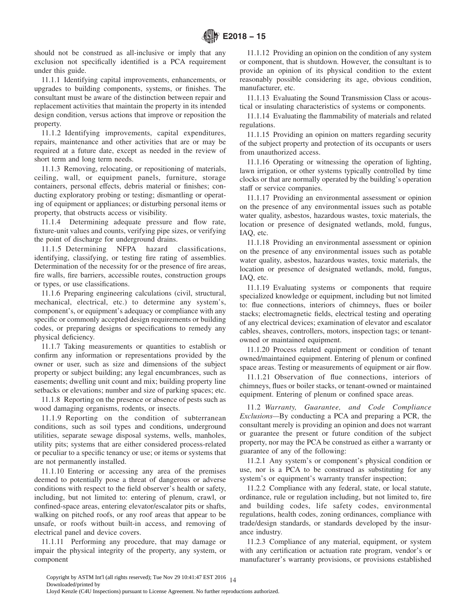<span id="page-13-0"></span>should not be construed as all-inclusive or imply that any exclusion not specifically identified is a PCA requirement under this guide.

11.1.1 Identifying capital improvements, enhancements, or upgrades to building components, systems, or finishes. The consultant must be aware of the distinction between repair and replacement activities that maintain the property in its intended design condition, versus actions that improve or reposition the property.

11.1.2 Identifying improvements, capital expenditures, repairs, maintenance and other activities that are or may be required at a future date, except as needed in the review of short term and long term needs.

11.1.3 Removing, relocating, or repositioning of materials, ceiling, wall, or equipment panels, furniture, storage containers, personal effects, debris material or finishes; conducting exploratory probing or testing; dismantling or operating of equipment or appliances; or disturbing personal items or property, that obstructs access or visibility.

11.1.4 Determining adequate pressure and flow rate, fixture-unit values and counts, verifying pipe sizes, or verifying the point of discharge for underground drains.

11.1.5 Determining NFPA hazard classifications, identifying, classifying, or testing fire rating of assemblies. Determination of the necessity for or the presence of fire areas, fire walls, fire barriers, accessible routes, construction groups or types, or use classifications.

11.1.6 Preparing engineering calculations (civil, structural, mechanical, electrical, etc.) to determine any system's, component's, or equipment's adequacy or compliance with any specific or commonly accepted design requirements or building codes, or preparing designs or specifications to remedy any physical deficiency.

11.1.7 Taking measurements or quantities to establish or confirm any information or representations provided by the owner or user, such as size and dimensions of the subject property or subject building; any legal encumbrances, such as easements; dwelling unit count and mix; building property line setbacks or elevations; number and size of parking spaces; etc.

11.1.8 Reporting on the presence or absence of pests such as wood damaging organisms, rodents, or insects.

11.1.9 Reporting on the condition of subterranean conditions, such as soil types and conditions, underground utilities, separate sewage disposal systems, wells, manholes, utility pits; systems that are either considered process-related or peculiar to a specific tenancy or use; or items or systems that are not permanently installed.

11.1.10 Entering or accessing any area of the premises deemed to potentially pose a threat of dangerous or adverse conditions with respect to the field observer's health or safety, including, but not limited to: entering of plenum, crawl, or confined-space areas, entering elevator/escalator pits or shafts, walking on pitched roofs, or any roof areas that appear to be unsafe, or roofs without built-in access, and removing of electrical panel and device covers.

11.1.11 Performing any procedure, that may damage or impair the physical integrity of the property, any system, or component

11.1.12 Providing an opinion on the condition of any system or component, that is shutdown. However, the consultant is to provide an opinion of its physical condition to the extent reasonably possible considering its age, obvious condition, manufacturer, etc.

11.1.13 Evaluating the Sound Transmission Class or acoustical or insulating characteristics of systems or components.

11.1.14 Evaluating the flammability of materials and related regulations.

11.1.15 Providing an opinion on matters regarding security of the subject property and protection of its occupants or users from unauthorized access.

11.1.16 Operating or witnessing the operation of lighting, lawn irrigation, or other systems typically controlled by time clocks or that are normally operated by the building's operation staff or service companies.

11.1.17 Providing an environmental assessment or opinion on the presence of any environmental issues such as potable water quality, asbestos, hazardous wastes, toxic materials, the location or presence of designated wetlands, mold, fungus, IAQ, etc.

11.1.18 Providing an environmental assessment or opinion on the presence of any environmental issues such as potable water quality, asbestos, hazardous wastes, toxic materials, the location or presence of designated wetlands, mold, fungus, IAQ, etc.

11.1.19 Evaluating systems or components that require specialized knowledge or equipment, including but not limited to: flue connections, interiors of chimneys, flues or boiler stacks; electromagnetic fields, electrical testing and operating of any electrical devices; examination of elevator and escalator cables, sheaves, controllers, motors, inspection tags; or tenantowned or maintained equipment.

11.1.20 Process related equipment or condition of tenant owned/maintained equipment. Entering of plenum or confined space areas. Testing or measurements of equipment or air flow.

11.1.21 Observation of flue connections, interiors of chimneys, flues or boiler stacks, or tenant-owned or maintained equipment. Entering of plenum or confined space areas.

11.2 *Warranty, Guarantee, and Code Compliance Exclusions—*By conducting a PCA and preparing a PCR, the consultant merely is providing an opinion and does not warrant or guarantee the present or future condition of the subject property, nor may the PCA be construed as either a warranty or guarantee of any of the following:

11.2.1 Any system's or component's physical condition or use, nor is a PCA to be construed as substituting for any system's or equipment's warranty transfer inspection;

11.2.2 Compliance with any federal, state, or local statute, ordinance, rule or regulation including, but not limited to, fire and building codes, life safety codes, environmental regulations, health codes, zoning ordinances, compliance with trade/design standards, or standards developed by the insurance industry.

11.2.3 Compliance of any material, equipment, or system with any certification or actuation rate program, vendor's or manufacturer's warranty provisions, or provisions established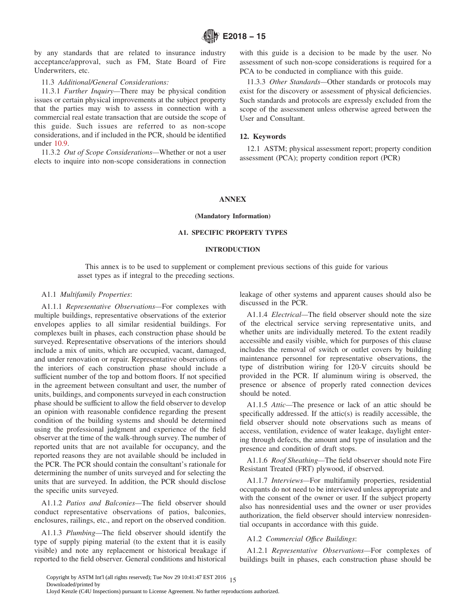<span id="page-14-0"></span>by any standards that are related to insurance industry acceptance/approval, such as FM, State Board of Fire Underwriters, etc.

#### 11.3 *Additional/General Considerations:*

11.3.1 *Further Inquiry—*There may be physical condition issues or certain physical improvements at the subject property that the parties may wish to assess in connection with a commercial real estate transaction that are outside the scope of this guide. Such issues are referred to as non-scope considerations, and if included in the PCR, should be identified under [10.9.](#page-12-0)

11.3.2 *Out of Scope Considerations—*Whether or not a user elects to inquire into non-scope considerations in connection with this guide is a decision to be made by the user. No assessment of such non-scope considerations is required for a PCA to be conducted in compliance with this guide.

11.3.3 *Other Standards—*Other standards or protocols may exist for the discovery or assessment of physical deficiencies. Such standards and protocols are expressly excluded from the scope of the assessment unless otherwise agreed between the User and Consultant.

#### **12. Keywords**

12.1 ASTM; physical assessment report; property condition assessment (PCA); property condition report (PCR)

#### **ANNEX**

#### **(Mandatory Information)**

## **A1. SPECIFIC PROPERTY TYPES**

## **INTRODUCTION**

This annex is to be used to supplement or complement previous sections of this guide for various asset types as if integral to the preceding sections.

#### A1.1 *Multifamily Properties*:

A1.1.1 *Representative Observations—*For complexes with multiple buildings, representative observations of the exterior envelopes applies to all similar residential buildings. For complexes built in phases, each construction phase should be surveyed. Representative observations of the interiors should include a mix of units, which are occupied, vacant, damaged, and under renovation or repair. Representative observations of the interiors of each construction phase should include a sufficient number of the top and bottom floors. If not specified in the agreement between consultant and user, the number of units, buildings, and components surveyed in each construction phase should be sufficient to allow the field observer to develop an opinion with reasonable confidence regarding the present condition of the building systems and should be determined using the professional judgment and experience of the field observer at the time of the walk-through survey. The number of reported units that are not available for occupancy, and the reported reasons they are not available should be included in the PCR. The PCR should contain the consultant's rationale for determining the number of units surveyed and for selecting the units that are surveyed. In addition, the PCR should disclose the specific units surveyed.

A1.1.2 *Patios and Balconies—*The field observer should conduct representative observations of patios, balconies, enclosures, railings, etc., and report on the observed condition.

A1.1.3 *Plumbing—*The field observer should identify the type of supply piping material (to the extent that it is easily visible) and note any replacement or historical breakage if reported to the field observer. General conditions and historical leakage of other systems and apparent causes should also be discussed in the PCR.

A1.1.4 *Electrical—*The field observer should note the size of the electrical service serving representative units, and whether units are individually metered. To the extent readily accessible and easily visible, which for purposes of this clause includes the removal of switch or outlet covers by building maintenance personnel for representative observations, the type of distribution wiring for 120-V circuits should be provided in the PCR. If aluminum wiring is observed, the presence or absence of properly rated connection devices should be noted.

A1.1.5 *Attic—*The presence or lack of an attic should be specifically addressed. If the attic(s) is readily accessible, the field observer should note observations such as means of access, ventilation, evidence of water leakage, daylight entering through defects, the amount and type of insulation and the presence and condition of draft stops.

A1.1.6 *Roof Sheathing—*The field observer should note Fire Resistant Treated (FRT) plywood, if observed.

A1.1.7 *Interviews—*For multifamily properties, residential occupants do not need to be interviewed unless appropriate and with the consent of the owner or user. If the subject property also has nonresidential uses and the owner or user provides authorization, the field observer should interview nonresidential occupants in accordance with this guide.

#### A1.2 *Commercial Offıce Buildings*:

A1.2.1 *Representative Observations—*For complexes of buildings built in phases, each construction phase should be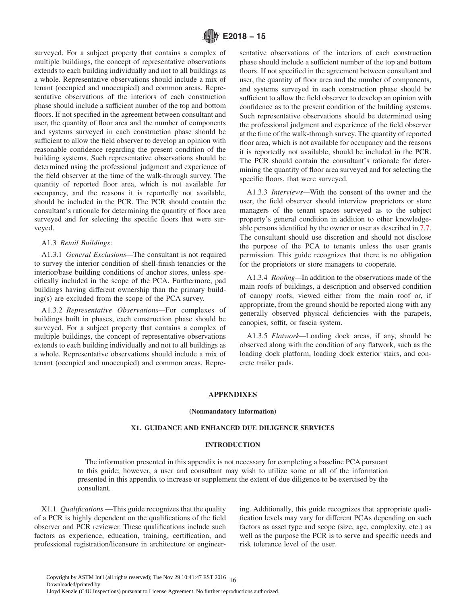<span id="page-15-0"></span>surveyed. For a subject property that contains a complex of multiple buildings, the concept of representative observations extends to each building individually and not to all buildings as a whole. Representative observations should include a mix of tenant (occupied and unoccupied) and common areas. Representative observations of the interiors of each construction phase should include a sufficient number of the top and bottom floors. If not specified in the agreement between consultant and user, the quantity of floor area and the number of components and systems surveyed in each construction phase should be sufficient to allow the field observer to develop an opinion with reasonable confidence regarding the present condition of the building systems. Such representative observations should be determined using the professional judgment and experience of the field observer at the time of the walk-through survey. The quantity of reported floor area, which is not available for occupancy, and the reasons it is reportedly not available, should be included in the PCR. The PCR should contain the consultant's rationale for determining the quantity of floor area surveyed and for selecting the specific floors that were surveyed.

## A1.3 *Retail Buildings*:

A1.3.1 *General Exclusions—*The consultant is not required to survey the interior condition of shell-finish tenancies or the interior/base building conditions of anchor stores, unless specifically included in the scope of the PCA. Furthermore, pad buildings having different ownership than the primary building(s) are excluded from the scope of the PCA survey.

A1.3.2 *Representative Observations—*For complexes of buildings built in phases, each construction phase should be surveyed. For a subject property that contains a complex of multiple buildings, the concept of representative observations extends to each building individually and not to all buildings as a whole. Representative observations should include a mix of tenant (occupied and unoccupied) and common areas. Representative observations of the interiors of each construction phase should include a sufficient number of the top and bottom floors. If not specified in the agreement between consultant and user, the quantity of floor area and the number of components, and systems surveyed in each construction phase should be sufficient to allow the field observer to develop an opinion with confidence as to the present condition of the building systems. Such representative observations should be determined using the professional judgment and experience of the field observer at the time of the walk-through survey. The quantity of reported floor area, which is not available for occupancy and the reasons it is reportedly not available, should be included in the PCR. The PCR should contain the consultant's rationale for determining the quantity of floor area surveyed and for selecting the specific floors, that were surveyed.

A1.3.3 *Interviews—*With the consent of the owner and the user, the field observer should interview proprietors or store managers of the tenant spaces surveyed as to the subject property's general condition in addition to other knowledgeable persons identified by the owner or user as described in [7.7.](#page-9-0) The consultant should use discretion and should not disclose the purpose of the PCA to tenants unless the user grants permission. This guide recognizes that there is no obligation for the proprietors or store managers to cooperate.

A1.3.4 *Roofing—*In addition to the observations made of the main roofs of buildings, a description and observed condition of canopy roofs, viewed either from the main roof or, if appropriate, from the ground should be reported along with any generally observed physical deficiencies with the parapets, canopies, soffit, or fascia system.

A1.3.5 *Flatwork—*Loading dock areas, if any, should be observed along with the condition of any flatwork, such as the loading dock platform, loading dock exterior stairs, and concrete trailer pads.

#### **APPENDIXES**

#### **(Nonmandatory Information)**

## **X1. GUIDANCE AND ENHANCED DUE DILIGENCE SERVICES**

#### **INTRODUCTION**

The information presented in this appendix is not necessary for completing a baseline PCA pursuant to this guide; however, a user and consultant may wish to utilize some or all of the information presented in this appendix to increase or supplement the extent of due diligence to be exercised by the consultant.

X1.1 *Qualifications* —This guide recognizes that the quality of a PCR is highly dependent on the qualifications of the field observer and PCR reviewer. These qualifications include such factors as experience, education, training, certification, and professional registration/licensure in architecture or engineering. Additionally, this guide recognizes that appropriate qualification levels may vary for different PCAs depending on such factors as asset type and scope (size, age, complexity, etc.) as well as the purpose the PCR is to serve and specific needs and risk tolerance level of the user.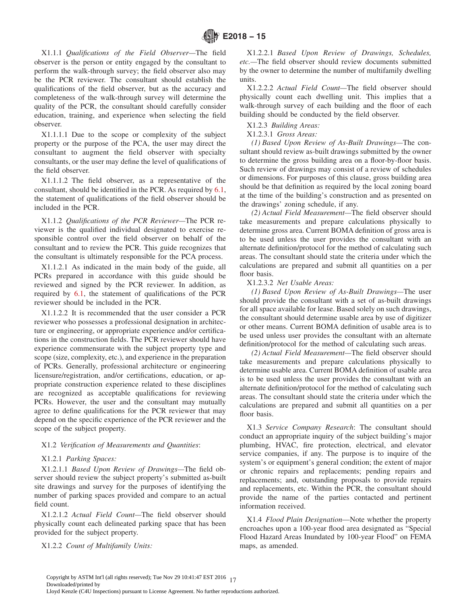<span id="page-16-0"></span>X1.1.1 *Qualifications of the Field Observer—*The field observer is the person or entity engaged by the consultant to perform the walk-through survey; the field observer also may be the PCR reviewer. The consultant should establish the qualifications of the field observer, but as the accuracy and completeness of the walk-through survey will determine the quality of the PCR, the consultant should carefully consider education, training, and experience when selecting the field observer.

X1.1.1.1 Due to the scope or complexity of the subject property or the purpose of the PCA, the user may direct the consultant to augment the field observer with specialty consultants, or the user may define the level of qualifications of the field observer.

X1.1.1.2 The field observer, as a representative of the consultant, should be identified in the PCR. As required by [6.1,](#page-7-0) the statement of qualifications of the field observer should be included in the PCR.

X1.1.2 *Qualifications of the PCR Reviewer—*The PCR reviewer is the qualified individual designated to exercise responsible control over the field observer on behalf of the consultant and to review the PCR. This guide recognizes that the consultant is ultimately responsible for the PCA process.

X1.1.2.1 As indicated in the main body of the guide, all PCRs prepared in accordance with this guide should be reviewed and signed by the PCR reviewer. In addition, as required by [6.1,](#page-7-0) the statement of qualifications of the PCR reviewer should be included in the PCR.

X1.1.2.2 It is recommended that the user consider a PCR reviewer who possesses a professional designation in architecture or engineering, or appropriate experience and/or certifications in the construction fields. The PCR reviewer should have experience commensurate with the subject property type and scope (size, complexity, etc.), and experience in the preparation of PCRs. Generally, professional architecture or engineering licensure/registration, and/or certifications, education, or appropriate construction experience related to these disciplines are recognized as acceptable qualifications for reviewing PCRs. However, the user and the consultant may mutually agree to define qualifications for the PCR reviewer that may depend on the specific experience of the PCR reviewer and the scope of the subject property.

## X1.2 *Verification of Measurements and Quantities*:

### X1.2.1 *Parking Spaces:*

X1.2.1.1 *Based Upon Review of Drawings—*The field observer should review the subject property's submitted as-built site drawings and survey for the purposes of identifying the number of parking spaces provided and compare to an actual field count.

X1.2.1.2 *Actual Field Count—*The field observer should physically count each delineated parking space that has been provided for the subject property.

X1.2.2 *Count of Multifamily Units:*

X1.2.2.1 *Based Upon Review of Drawings, Schedules, etc.—*The field observer should review documents submitted by the owner to determine the number of multifamily dwelling units.

X1.2.2.2 *Actual Field Count—*The field observer should physically count each dwelling unit. This implies that a walk-through survey of each building and the floor of each building should be conducted by the field observer.

X1.2.3 *Building Areas:*

## X1.2.3.1 *Gross Areas:*

*(1) Based Upon Review of As-Built Drawings—*The consultant should review as-built drawings submitted by the owner to determine the gross building area on a floor-by-floor basis. Such review of drawings may consist of a review of schedules or dimensions. For purposes of this clause, gross building area should be that definition as required by the local zoning board at the time of the building's construction and as presented on the drawings' zoning schedule, if any.

*(2) Actual Field Measurement—*The field observer should take measurements and prepare calculations physically to determine gross area. Current BOMA definition of gross area is to be used unless the user provides the consultant with an alternate definition/protocol for the method of calculating such areas. The consultant should state the criteria under which the calculations are prepared and submit all quantities on a per floor basis.

#### X1.2.3.2 *Net Usable Areas:*

*(1) Based Upon Review of As-Built Drawings—*The user should provide the consultant with a set of as-built drawings for all space available for lease. Based solely on such drawings, the consultant should determine usable area by use of digitizer or other means. Current BOMA definition of usable area is to be used unless user provides the consultant with an alternate definition/protocol for the method of calculating such areas.

*(2) Actual Field Measurement—*The field observer should take measurements and prepare calculations physically to determine usable area. Current BOMA definition of usable area is to be used unless the user provides the consultant with an alternate definition/protocol for the method of calculating such areas. The consultant should state the criteria under which the calculations are prepared and submit all quantities on a per floor basis.

X1.3 *Service Company Research*: The consultant should conduct an appropriate inquiry of the subject building's major plumbing, HVAC, fire protection, electrical, and elevator service companies, if any. The purpose is to inquire of the system's or equipment's general condition; the extent of major or chronic repairs and replacements; pending repairs and replacements; and, outstanding proposals to provide repairs and replacements, etc. Within the PCR, the consultant should provide the name of the parties contacted and pertinent information received.

X1.4 *Flood Plain Designation*—Note whether the property encroaches upon a 100-year flood area designated as "Special Flood Hazard Areas Inundated by 100-year Flood" on FEMA maps, as amended.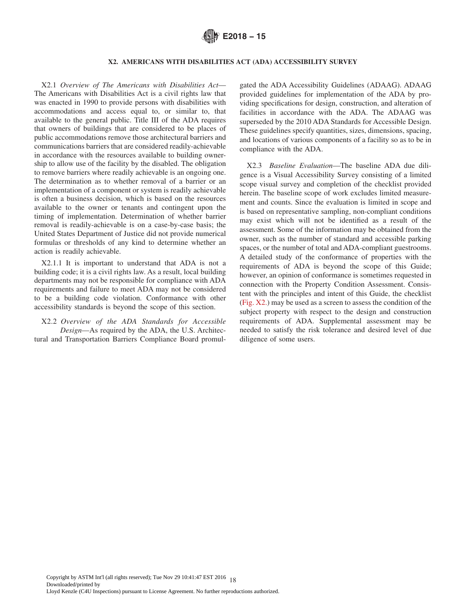

## **X2. AMERICANS WITH DISABILITIES ACT (ADA) ACCESSIBILITY SURVEY**

<span id="page-17-0"></span>X2.1 *Overview of The Americans with Disabilities Act*— The Americans with Disabilities Act is a civil rights law that was enacted in 1990 to provide persons with disabilities with accommodations and access equal to, or similar to, that available to the general public. Title III of the ADA requires that owners of buildings that are considered to be places of public accommodations remove those architectural barriers and communications barriers that are considered readily-achievable in accordance with the resources available to building ownership to allow use of the facility by the disabled. The obligation to remove barriers where readily achievable is an ongoing one. The determination as to whether removal of a barrier or an implementation of a component or system is readily achievable is often a business decision, which is based on the resources available to the owner or tenants and contingent upon the timing of implementation. Determination of whether barrier removal is readily-achievable is on a case-by-case basis; the United States Department of Justice did not provide numerical formulas or thresholds of any kind to determine whether an action is readily achievable.

X2.1.1 It is important to understand that ADA is not a building code; it is a civil rights law. As a result, local building departments may not be responsible for compliance with ADA requirements and failure to meet ADA may not be considered to be a building code violation. Conformance with other accessibility standards is beyond the scope of this section.

X2.2 *Overview of the ADA Standards for Accessible Design*—As required by the ADA, the U.S. Architectural and Transportation Barriers Compliance Board promulgated the ADA Accessibility Guidelines (ADAAG). ADAAG provided guidelines for implementation of the ADA by providing specifications for design, construction, and alteration of facilities in accordance with the ADA. The ADAAG was superseded by the 2010 ADA Standards for Accessible Design. These guidelines specify quantities, sizes, dimensions, spacing, and locations of various components of a facility so as to be in compliance with the ADA.

X2.3 *Baseline Evaluation*—The baseline ADA due diligence is a Visual Accessibility Survey consisting of a limited scope visual survey and completion of the checklist provided herein. The baseline scope of work excludes limited measurement and counts. Since the evaluation is limited in scope and is based on representative sampling, non-compliant conditions may exist which will not be identified as a result of the assessment. Some of the information may be obtained from the owner, such as the number of standard and accessible parking spaces, or the number of total and ADA-compliant guestrooms. A detailed study of the conformance of properties with the requirements of ADA is beyond the scope of this Guide; however, an opinion of conformance is sometimes requested in connection with the Property Condition Assessment. Consistent with the principles and intent of this Guide, the checklist [\(Fig. X2.\)](#page-18-0) may be used as a screen to assess the condition of the subject property with respect to the design and construction requirements of ADA. Supplemental assessment may be needed to satisfy the risk tolerance and desired level of due diligence of some users.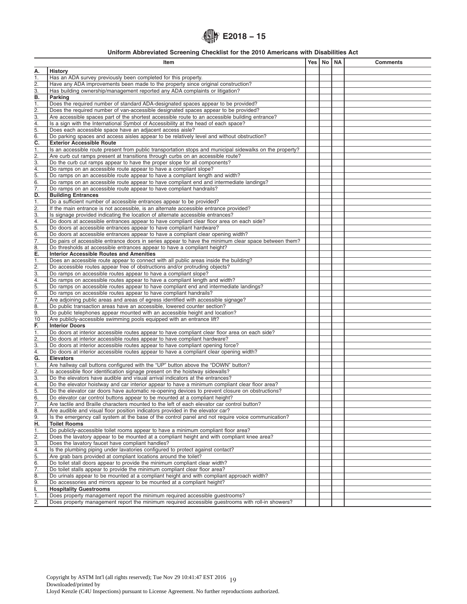# **E2018 − 15**

## **Uniform Abbreviated Screening Checklist for the 2010 Americans with Disabilities Act**

<span id="page-18-0"></span>

|                           | Item                                                                                                                                                               | Yes   No   NA | <b>Comments</b> |
|---------------------------|--------------------------------------------------------------------------------------------------------------------------------------------------------------------|---------------|-----------------|
| А.                        | <b>History</b>                                                                                                                                                     |               |                 |
| 1.                        | Has an ADA survey previously been completed for this property.                                                                                                     |               |                 |
| 2.                        | Have any ADA improvements been made to the property since original construction?                                                                                   |               |                 |
| 3.                        | Has building ownership/management reported any ADA complaints or litigation?                                                                                       |               |                 |
| B.                        | Parking                                                                                                                                                            |               |                 |
| ī.                        | Does the required number of standard ADA-designated spaces appear to be provided?                                                                                  |               |                 |
| $\frac{2}{3}$             | Does the required number of van-accessible designated spaces appear to be provided?                                                                                |               |                 |
|                           | Are accessible spaces part of the shortest accessible route to an accessible building entrance?                                                                    |               |                 |
| 4.<br>$\overline{5}$ .    | Is a sign with the International Symbol of Accessibility at the head of each space?<br>Does each accessible space have an adjacent access aisle?                   |               |                 |
| $\overline{6}$ .          | Do parking spaces and access aisles appear to be relatively level and without obstruction?                                                                         |               |                 |
| $\overline{\mathsf{c}}$ . | <b>Exterior Accessible Route</b>                                                                                                                                   |               |                 |
| 1.                        | Is an accessible route present from public transportation stops and municipal sidewalks on the property?                                                           |               |                 |
| $\frac{2}{3}$             | Are curb cut ramps present at transitions through curbs on an accessible route?                                                                                    |               |                 |
|                           | Do the curb cut ramps appear to have the proper slope for all components?                                                                                          |               |                 |
| 4.                        | Do ramps on an accessible route appear to have a compliant slope?                                                                                                  |               |                 |
| $\overline{5}$ .          | Do ramps on an accessible route appear to have a compliant length and width?                                                                                       |               |                 |
| $\overline{6}$ .<br>7.    | Do ramps on an accessible route appear to have compliant end and intermediate landings?                                                                            |               |                 |
| D.                        | Do ramps on an accessible route appear to have compliant handrails?<br><b>Building Entrances</b>                                                                   |               |                 |
| 1.                        | Do a sufficient number of accessible entrances appear to be provided?                                                                                              |               |                 |
|                           | If the main entrance is not accessible, is an alternate accessible entrance provided?                                                                              |               |                 |
| $rac{2}{3}$               | Is signage provided indicating the location of alternate accessible entrances?                                                                                     |               |                 |
| $\overline{4}$ .          | Do doors at accessible entrances appear to have compliant clear floor area on each side?                                                                           |               |                 |
| 5.                        | Do doors at accessible entrances appear to have compliant hardware?                                                                                                |               |                 |
| $\overline{6}$ .          | Do doors at accessible entrances appear to have a compliant clear opening width?                                                                                   |               |                 |
| $\overline{7}$ .          | Do pairs of accessible entrance doors in series appear to have the minimum clear space between them?                                                               |               |                 |
| $\overline{8}$ .<br>Ē.    | Do thresholds at accessible entrances appear to have a compliant height?<br><b>Interior Accessible Routes and Amenities</b>                                        |               |                 |
| 1.                        | Does an accessible route appear to connect with all public areas inside the building?                                                                              |               |                 |
| $\overline{2}$ .          | Do accessible routes appear free of obstructions and/or protruding objects?                                                                                        |               |                 |
| $\overline{3}$ .          | Do ramps on accessible routes appear to have a compliant slope?                                                                                                    |               |                 |
| 4.                        | Do ramps on accessible routes appear to have a compliant length and width?                                                                                         |               |                 |
| $\overline{5}$            | Do ramps on accessible routes appear to have compliant end and intermediate landings?                                                                              |               |                 |
| $\overline{6}$ .          | Do ramps on accessible routes appear to have compliant handrails?                                                                                                  |               |                 |
| $\overline{7}$ .          | Are adjoining public areas and areas of egress identified with accessible signage?                                                                                 |               |                 |
| 8.<br>9.                  | Do public transaction areas have an accessible, lowered counter section?<br>Do public telephones appear mounted with an accessible height and location?            |               |                 |
| $\overline{10}$           | Are publicly-accessible swimming pools equipped with an entrance lift?                                                                                             |               |                 |
| F.                        | <b>Interior Doors</b>                                                                                                                                              |               |                 |
| 1.                        | Do doors at interior accessible routes appear to have compliant clear floor area on each side?                                                                     |               |                 |
| $\overline{2}$ .          | Do doors at interior accessible routes appear to have compliant hardware?                                                                                          |               |                 |
| $\overline{3}$ .          | Do doors at interior accessible routes appear to have compliant opening force?                                                                                     |               |                 |
| 4.                        | Do doors at interior accessible routes appear to have a compliant clear opening width?                                                                             |               |                 |
| $\overline{\mathsf{G}}$ . | <b>Elevators</b>                                                                                                                                                   |               |                 |
| 1.<br>2.                  | Are hallway call buttons configured with the "UP" button above the "DOWN" button?<br>Is accessible floor identification signage present on the hoistway sidewalls? |               |                 |
| 3.                        | Do the elevators have audible and visual arrival indicators at the entrances?                                                                                      |               |                 |
| $\overline{4}$ .          | Do the elevator hoistway and car interior appear to have a minimum compliant clear floor area?                                                                     |               |                 |
| 5.                        | Do the elevator car doors have automatic re-opening devices to prevent closure on obstructions?                                                                    |               |                 |
| 6.                        | Do elevator car control buttons appear to be mounted at a compliant height?                                                                                        |               |                 |
| $\overline{7}$ .          | Are tactile and Braille characters mounted to the left of each elevator car control button?                                                                        |               |                 |
| $\overline{8}$ .          | Are audible and visual floor position indicators provided in the elevator car?                                                                                     |               |                 |
| 9.                        | Is the emergency call system at the base of the control panel and not require voice communication?                                                                 |               |                 |
| H.                        | <b>Toilet Rooms</b><br>Do publicly-accessible toilet rooms appear to have a minimum compliant floor area?                                                          |               |                 |
| 1.<br>$\overline{2}$ .    | Does the lavatory appear to be mounted at a compliant height and with compliant knee area?                                                                         |               |                 |
| $\overline{3}$ .          | Does the lavatory faucet have compliant handles?                                                                                                                   |               |                 |
| $\overline{4}$ .          | Is the plumbing piping under lavatories configured to protect against contact?                                                                                     |               |                 |
| $\overline{5}$ .          | Are grab bars provided at compliant locations around the toilet?                                                                                                   |               |                 |
| 6.                        | Do toilet stall doors appear to provide the minimum compliant clear width?                                                                                         |               |                 |
| 7.                        | Do toilet stalls appear to provide the minimum compliant clear floor area?                                                                                         |               |                 |
| 8.                        | Do urinals appear to be mounted at a compliant height and with compliant approach width?                                                                           |               |                 |
| 9.                        | Do accessories and mirrors appear to be mounted at a compliant height?                                                                                             |               |                 |
| ı.<br>1.                  | <b>Hospitality Guestrooms</b><br>Does property management report the minimum required accessible guestrooms?                                                       |               |                 |
| $\overline{2}$ .          | Does property management report the minimum required accessible guestrooms with roll-in showers?                                                                   |               |                 |
|                           |                                                                                                                                                                    |               |                 |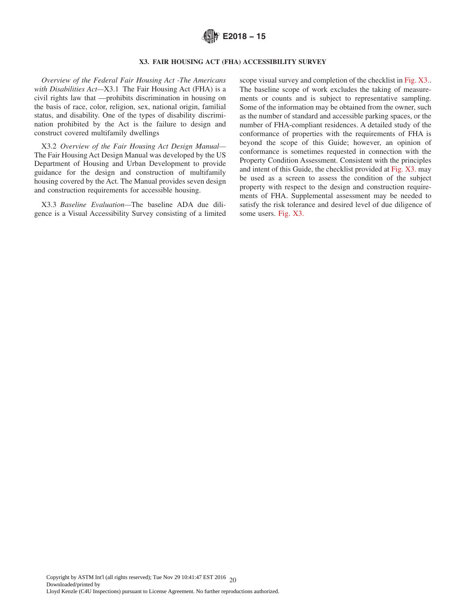

#### **X3. FAIR HOUSING ACT (FHA) ACCESSIBILITY SURVEY**

<span id="page-19-0"></span>*Overview of the Federal Fair Housing Act -The Americans with Disabilities Act—*X3.1 The Fair Housing Act (FHA) is a civil rights law that —prohibits discrimination in housing on the basis of race, color, religion, sex, national origin, familial status, and disability. One of the types of disability discrimination prohibited by the Act is the failure to design and construct covered multifamily dwellings

X3.2 *Overview of the Fair Housing Act Design Manual—* The Fair Housing Act Design Manual was developed by the US Department of Housing and Urban Development to provide guidance for the design and construction of multifamily housing covered by the Act. The Manual provides seven design and construction requirements for accessible housing.

X3.3 *Baseline Evaluation—*The baseline ADA due diligence is a Visual Accessibility Survey consisting of a limited scope visual survey and completion of the checklist in [Fig. X3..](#page-20-0) The baseline scope of work excludes the taking of measurements or counts and is subject to representative sampling. Some of the information may be obtained from the owner, such as the number of standard and accessible parking spaces, or the number of FHA-compliant residences. A detailed study of the conformance of properties with the requirements of FHA is beyond the scope of this Guide; however, an opinion of conformance is sometimes requested in connection with the Property Condition Assessment. Consistent with the principles and intent of this Guide, the checklist provided at [Fig. X3.](#page-20-0) may be used as a screen to assess the condition of the subject property with respect to the design and construction requirements of FHA. Supplemental assessment may be needed to satisfy the risk tolerance and desired level of due diligence of some users. [Fig. X3.](#page-20-0)